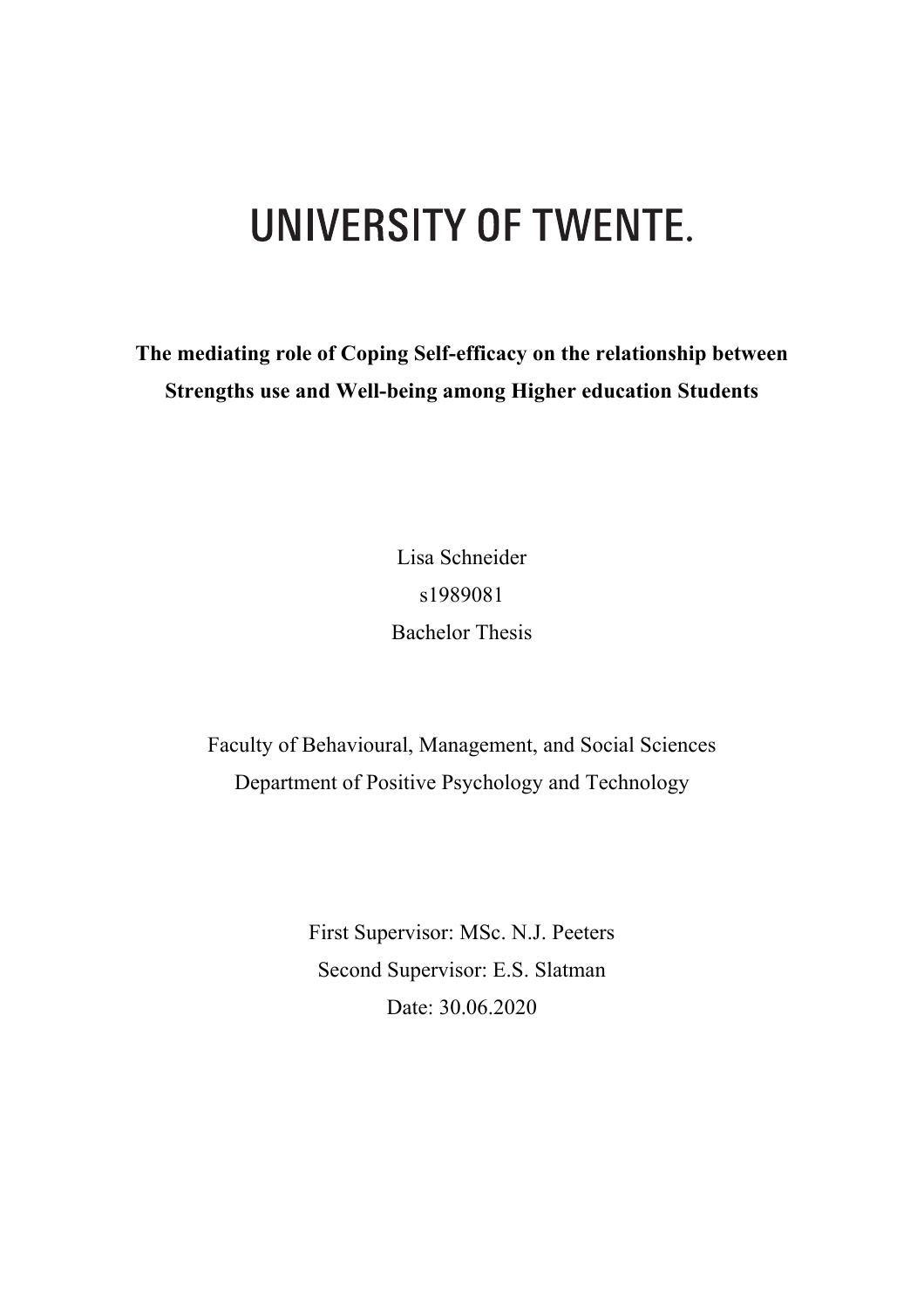# UNIVERSITY OF TWENTE.

**The mediating role of Coping Self-efficacy on the relationship between Strengths use and Well-being among Higher education Students**

> Lisa Schneider s1989081 Bachelor Thesis

Faculty of Behavioural, Management, and Social Sciences Department of Positive Psychology and Technology

> First Supervisor: MSc. N.J. Peeters Second Supervisor: E.S. Slatman Date: 30.06.2020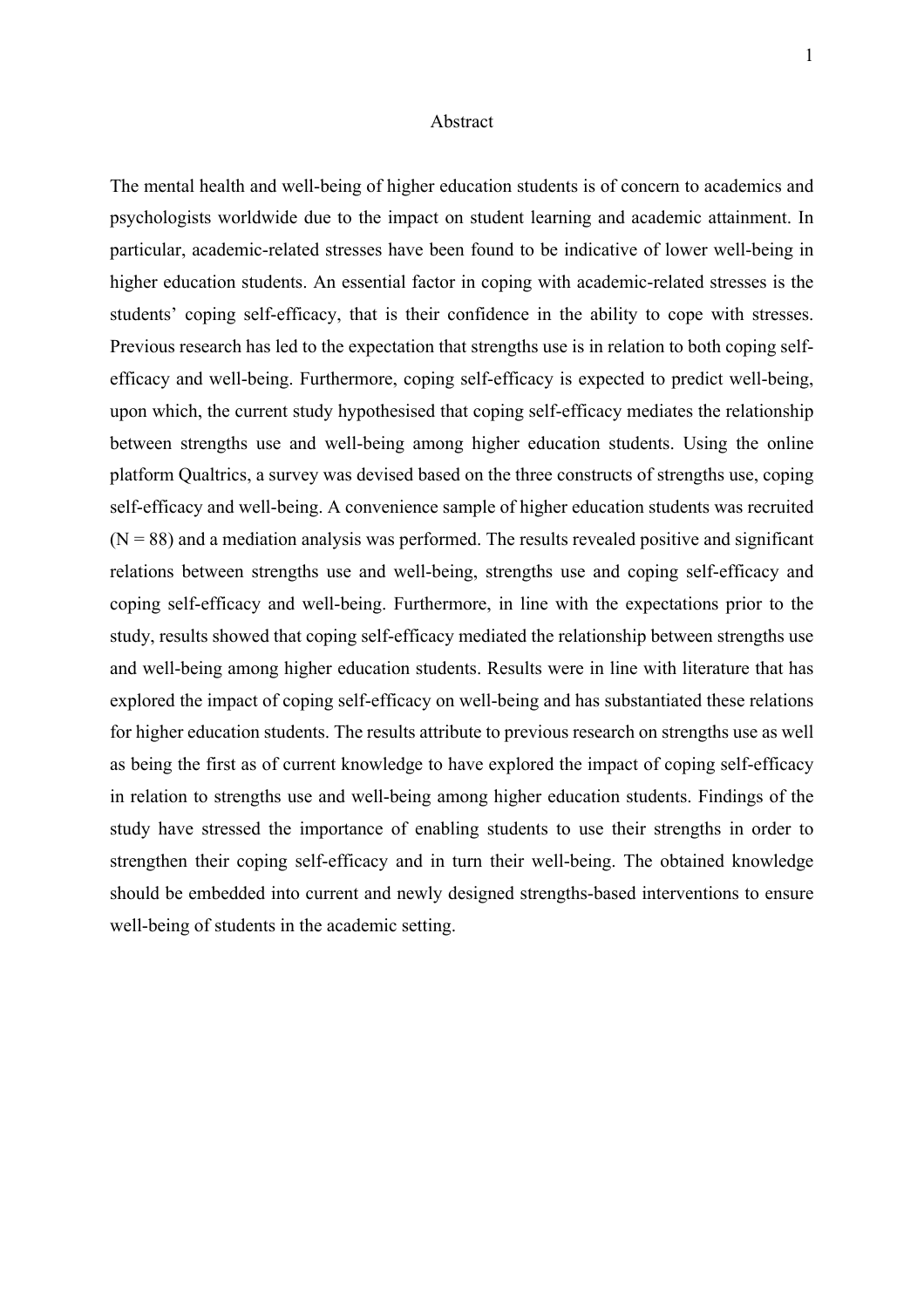#### Abstract

The mental health and well-being of higher education students is of concern to academics and psychologists worldwide due to the impact on student learning and academic attainment. In particular, academic-related stresses have been found to be indicative of lower well-being in higher education students. An essential factor in coping with academic-related stresses is the students' coping self-efficacy, that is their confidence in the ability to cope with stresses. Previous research has led to the expectation that strengths use is in relation to both coping selfefficacy and well-being. Furthermore, coping self-efficacy is expected to predict well-being, upon which, the current study hypothesised that coping self-efficacy mediates the relationship between strengths use and well-being among higher education students. Using the online platform Qualtrics, a survey was devised based on the three constructs of strengths use, coping self-efficacy and well-being. A convenience sample of higher education students was recruited  $(N = 88)$  and a mediation analysis was performed. The results revealed positive and significant relations between strengths use and well-being, strengths use and coping self-efficacy and coping self-efficacy and well-being. Furthermore, in line with the expectations prior to the study, results showed that coping self-efficacy mediated the relationship between strengths use and well-being among higher education students. Results were in line with literature that has explored the impact of coping self-efficacy on well-being and has substantiated these relations for higher education students. The results attribute to previous research on strengths use as well as being the first as of current knowledge to have explored the impact of coping self-efficacy in relation to strengths use and well-being among higher education students. Findings of the study have stressed the importance of enabling students to use their strengths in order to strengthen their coping self-efficacy and in turn their well-being. The obtained knowledge should be embedded into current and newly designed strengths-based interventions to ensure well-being of students in the academic setting.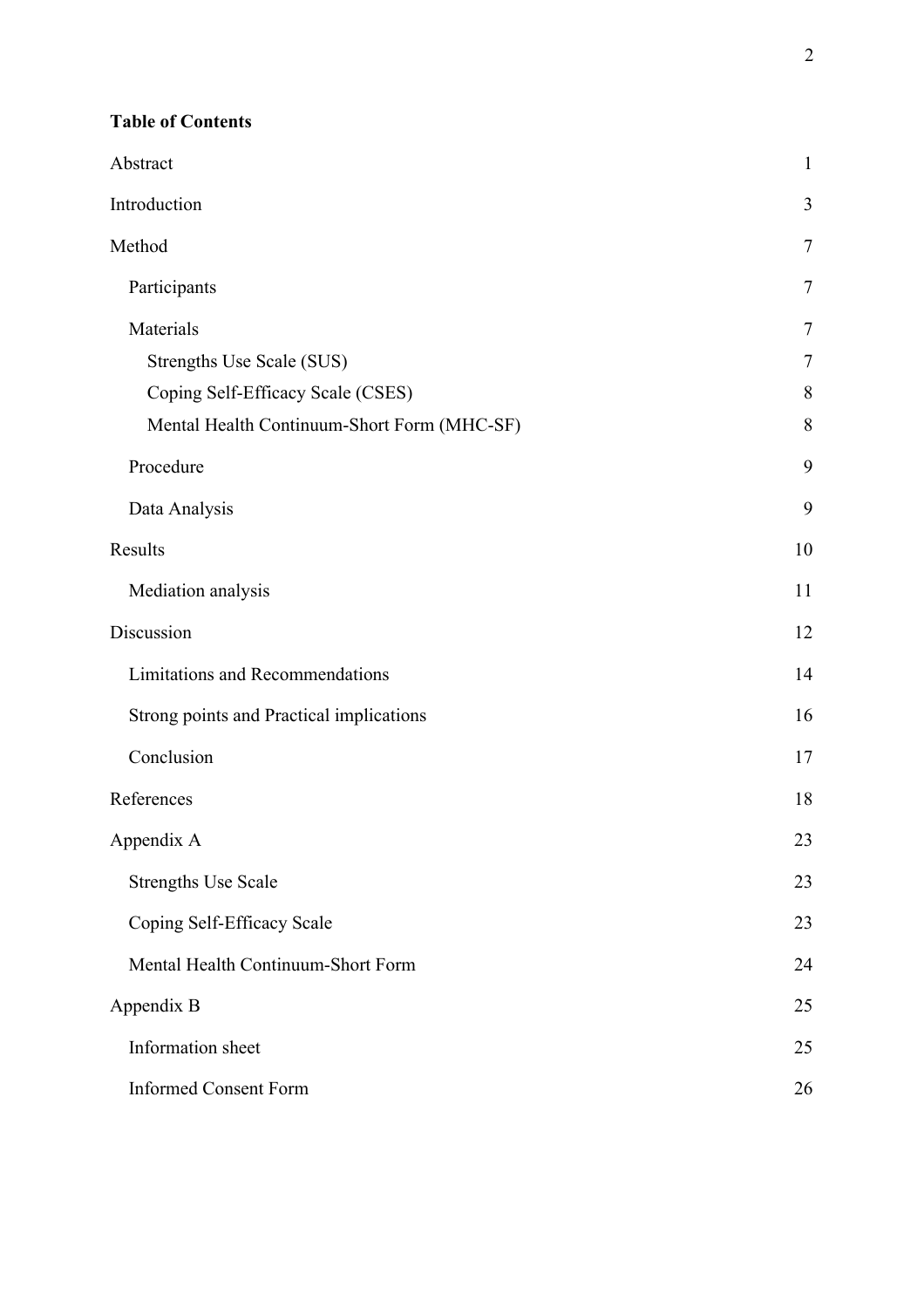| Abstract                                    | $\mathbf{1}$ |
|---------------------------------------------|--------------|
| Introduction                                | 3            |
| Method                                      | 7            |
| Participants                                | 7            |
| Materials                                   | 7            |
| Strengths Use Scale (SUS)                   | 7            |
| Coping Self-Efficacy Scale (CSES)           | 8            |
| Mental Health Continuum-Short Form (MHC-SF) | 8            |
| Procedure                                   | 9            |
| Data Analysis                               | 9            |
| Results                                     | 10           |
| Mediation analysis                          | 11           |
| Discussion                                  | 12           |
| <b>Limitations and Recommendations</b>      | 14           |
| Strong points and Practical implications    | 16           |
| Conclusion                                  | 17           |
| References                                  | 18           |
| Appendix A                                  | 23           |
| <b>Strengths Use Scale</b>                  | 23           |
| Coping Self-Efficacy Scale                  | 23           |
| Mental Health Continuum-Short Form          | 24           |
| Appendix B                                  | 25           |
| Information sheet                           | 25           |
| <b>Informed Consent Form</b>                | 26           |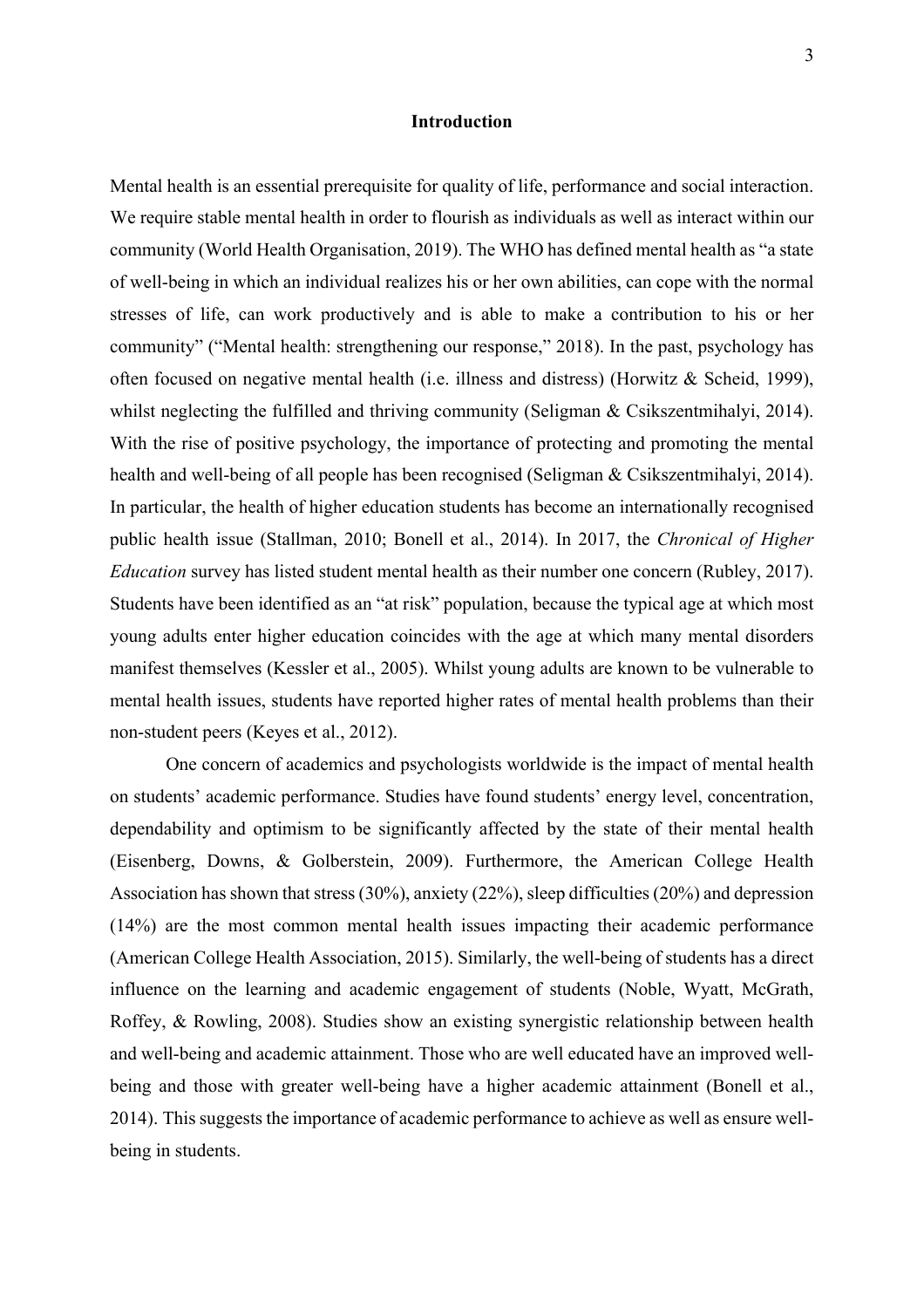## **Introduction**

Mental health is an essential prerequisite for quality of life, performance and social interaction. We require stable mental health in order to flourish as individuals as well as interact within our community (World Health Organisation, 2019). The WHO has defined mental health as "a state of well-being in which an individual realizes his or her own abilities, can cope with the normal stresses of life, can work productively and is able to make a contribution to his or her community" ("Mental health: strengthening our response," 2018). In the past, psychology has often focused on negative mental health (i.e. illness and distress) (Horwitz & Scheid, 1999), whilst neglecting the fulfilled and thriving community (Seligman & Csikszentmihalyi, 2014). With the rise of positive psychology, the importance of protecting and promoting the mental health and well-being of all people has been recognised (Seligman & Csikszentmihalyi, 2014). In particular, the health of higher education students has become an internationally recognised public health issue (Stallman, 2010; Bonell et al., 2014). In 2017, the *Chronical of Higher Education* survey has listed student mental health as their number one concern (Rubley, 2017). Students have been identified as an "at risk" population, because the typical age at which most young adults enter higher education coincides with the age at which many mental disorders manifest themselves (Kessler et al., 2005). Whilst young adults are known to be vulnerable to mental health issues, students have reported higher rates of mental health problems than their non-student peers (Keyes et al., 2012).

One concern of academics and psychologists worldwide is the impact of mental health on students' academic performance. Studies have found students' energy level, concentration, dependability and optimism to be significantly affected by the state of their mental health (Eisenberg, Downs, & Golberstein, 2009). Furthermore, the American College Health Association has shown that stress  $(30\%)$ , anxiety  $(22\%)$ , sleep difficulties  $(20\%)$  and depression (14%) are the most common mental health issues impacting their academic performance (American College Health Association, 2015). Similarly, the well-being of students has a direct influence on the learning and academic engagement of students (Noble, Wyatt, McGrath, Roffey, & Rowling, 2008). Studies show an existing synergistic relationship between health and well-being and academic attainment. Those who are well educated have an improved wellbeing and those with greater well-being have a higher academic attainment (Bonell et al., 2014). This suggests the importance of academic performance to achieve as well as ensure wellbeing in students.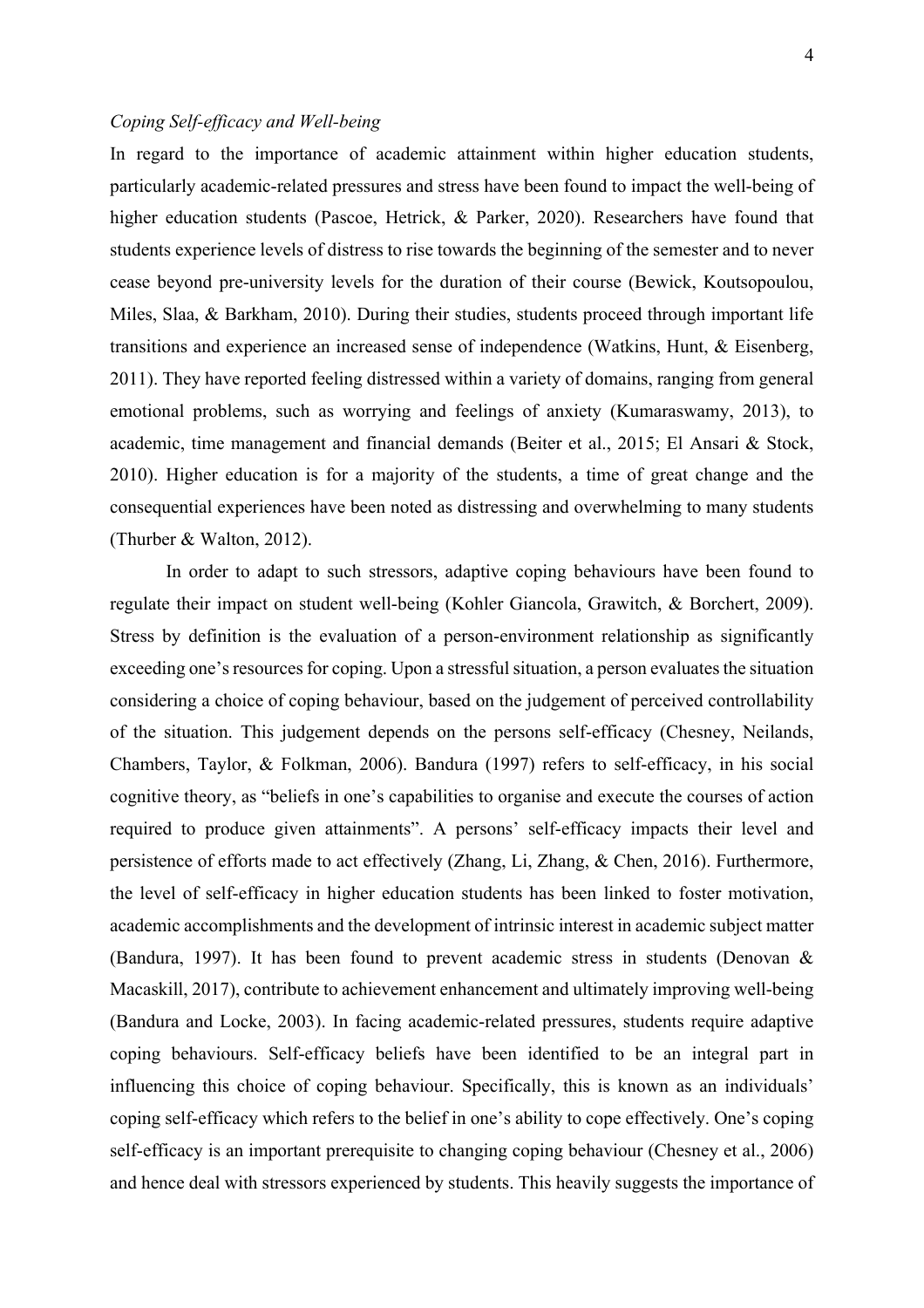## *Coping Self-efficacy and Well-being*

In regard to the importance of academic attainment within higher education students, particularly academic-related pressures and stress have been found to impact the well-being of higher education students (Pascoe, Hetrick, & Parker, 2020). Researchers have found that students experience levels of distress to rise towards the beginning of the semester and to never cease beyond pre-university levels for the duration of their course (Bewick, Koutsopoulou, Miles, Slaa, & Barkham, 2010). During their studies, students proceed through important life transitions and experience an increased sense of independence (Watkins, Hunt, & Eisenberg, 2011). They have reported feeling distressed within a variety of domains, ranging from general emotional problems, such as worrying and feelings of anxiety (Kumaraswamy, 2013), to academic, time management and financial demands (Beiter et al., 2015; El Ansari & Stock, 2010). Higher education is for a majority of the students, a time of great change and the consequential experiences have been noted as distressing and overwhelming to many students (Thurber & Walton, 2012).

In order to adapt to such stressors, adaptive coping behaviours have been found to regulate their impact on student well-being (Kohler Giancola, Grawitch, & Borchert, 2009). Stress by definition is the evaluation of a person-environment relationship as significantly exceeding one's resources for coping. Upon a stressful situation, a person evaluates the situation considering a choice of coping behaviour, based on the judgement of perceived controllability of the situation. This judgement depends on the persons self-efficacy (Chesney, Neilands, Chambers, Taylor, & Folkman, 2006). Bandura (1997) refers to self-efficacy, in his social cognitive theory, as "beliefs in one's capabilities to organise and execute the courses of action required to produce given attainments". A persons' self-efficacy impacts their level and persistence of efforts made to act effectively (Zhang, Li, Zhang, & Chen, 2016). Furthermore, the level of self-efficacy in higher education students has been linked to foster motivation, academic accomplishments and the development of intrinsic interest in academic subject matter (Bandura, 1997). It has been found to prevent academic stress in students (Denovan & Macaskill, 2017), contribute to achievement enhancement and ultimately improving well-being (Bandura and Locke, 2003). In facing academic-related pressures, students require adaptive coping behaviours. Self-efficacy beliefs have been identified to be an integral part in influencing this choice of coping behaviour. Specifically, this is known as an individuals' coping self-efficacy which refers to the belief in one's ability to cope effectively. One's coping self-efficacy is an important prerequisite to changing coping behaviour (Chesney et al., 2006) and hence deal with stressors experienced by students. This heavily suggests the importance of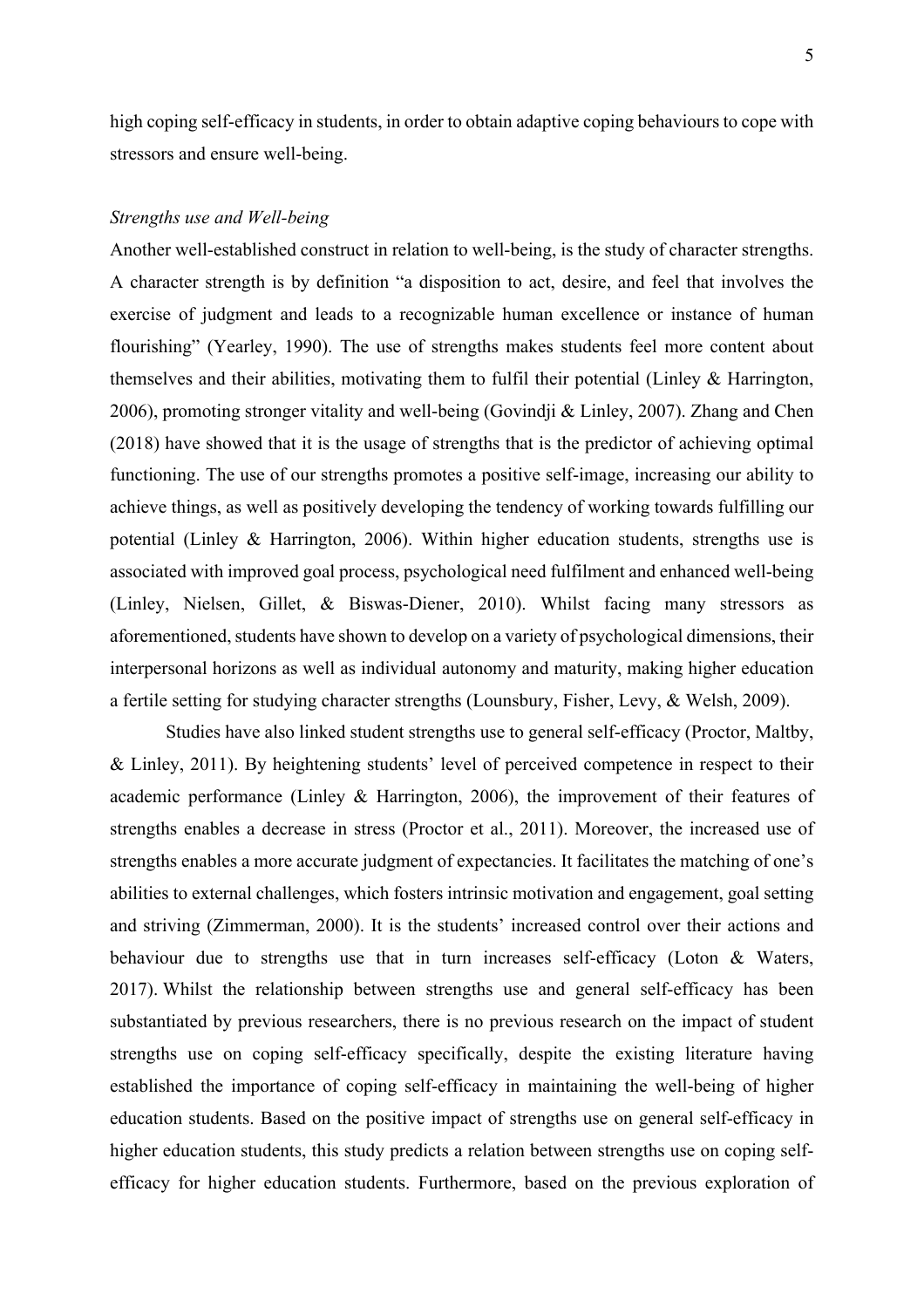high coping self-efficacy in students, in order to obtain adaptive coping behaviours to cope with stressors and ensure well-being.

## *Strengths use and Well-being*

Another well-established construct in relation to well-being, is the study of character strengths. A character strength is by definition "a disposition to act, desire, and feel that involves the exercise of judgment and leads to a recognizable human excellence or instance of human flourishing" (Yearley, 1990). The use of strengths makes students feel more content about themselves and their abilities, motivating them to fulfil their potential (Linley & Harrington, 2006), promoting stronger vitality and well-being (Govindji & Linley, 2007). Zhang and Chen (2018) have showed that it is the usage of strengths that is the predictor of achieving optimal functioning. The use of our strengths promotes a positive self-image, increasing our ability to achieve things, as well as positively developing the tendency of working towards fulfilling our potential (Linley & Harrington, 2006). Within higher education students, strengths use is associated with improved goal process, psychological need fulfilment and enhanced well-being (Linley, Nielsen, Gillet, & Biswas-Diener, 2010). Whilst facing many stressors as aforementioned, students have shown to develop on a variety of psychological dimensions, their interpersonal horizons as well as individual autonomy and maturity, making higher education a fertile setting for studying character strengths (Lounsbury, Fisher, Levy, & Welsh, 2009).

Studies have also linked student strengths use to general self-efficacy (Proctor, Maltby, & Linley, 2011). By heightening students' level of perceived competence in respect to their academic performance (Linley & Harrington, 2006), the improvement of their features of strengths enables a decrease in stress (Proctor et al., 2011). Moreover, the increased use of strengths enables a more accurate judgment of expectancies. It facilitates the matching of one's abilities to external challenges, which fosters intrinsic motivation and engagement, goal setting and striving (Zimmerman, 2000). It is the students' increased control over their actions and behaviour due to strengths use that in turn increases self-efficacy (Loton & Waters, 2017). Whilst the relationship between strengths use and general self-efficacy has been substantiated by previous researchers, there is no previous research on the impact of student strengths use on coping self-efficacy specifically, despite the existing literature having established the importance of coping self-efficacy in maintaining the well-being of higher education students. Based on the positive impact of strengths use on general self-efficacy in higher education students, this study predicts a relation between strengths use on coping selfefficacy for higher education students. Furthermore, based on the previous exploration of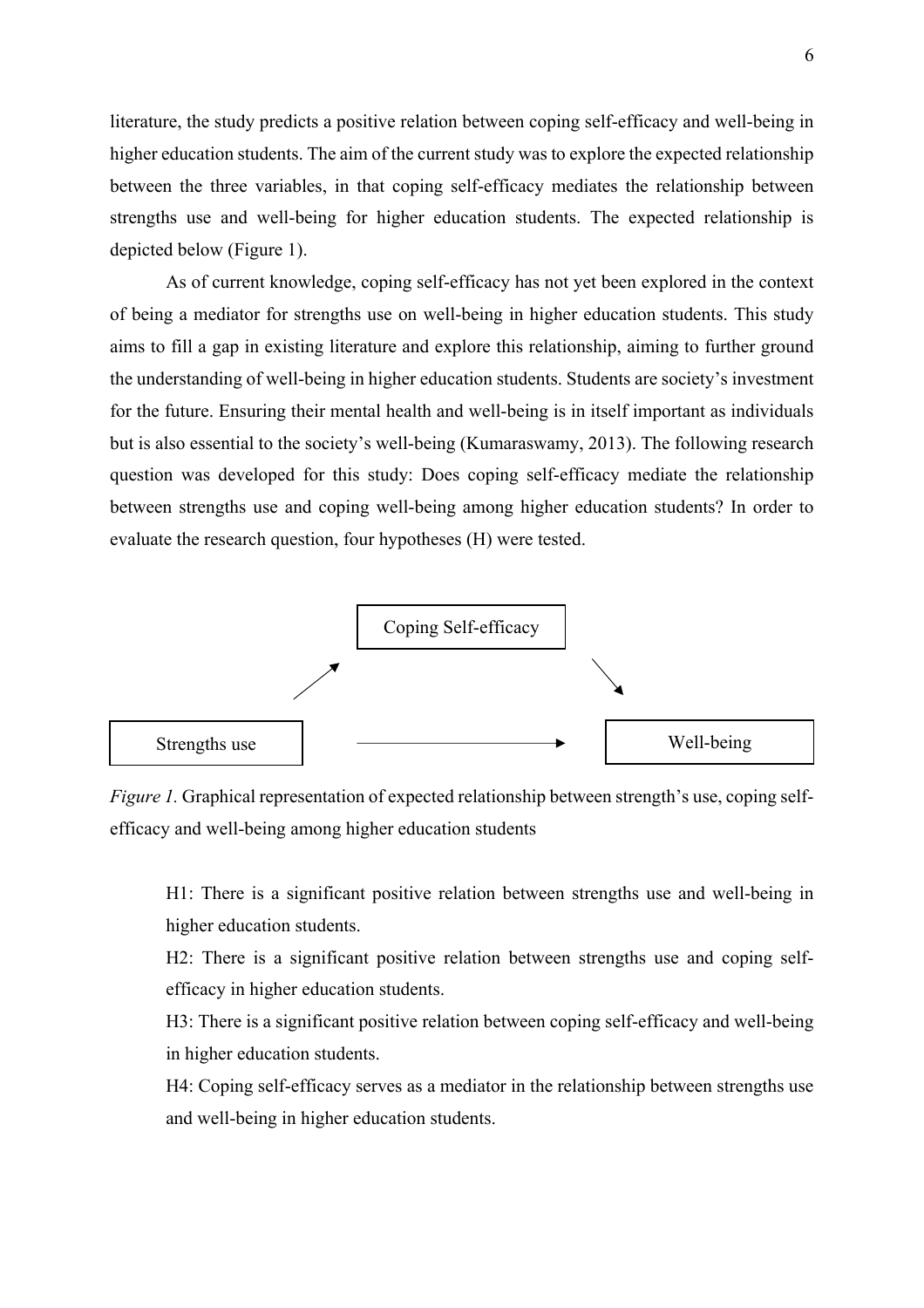literature, the study predicts a positive relation between coping self-efficacy and well-being in higher education students. The aim of the current study was to explore the expected relationship between the three variables, in that coping self-efficacy mediates the relationship between strengths use and well-being for higher education students. The expected relationship is depicted below (Figure 1).

As of current knowledge, coping self-efficacy has not yet been explored in the context of being a mediator for strengths use on well-being in higher education students. This study aims to fill a gap in existing literature and explore this relationship, aiming to further ground the understanding of well-being in higher education students. Students are society's investment for the future. Ensuring their mental health and well-being is in itself important as individuals but is also essential to the society's well-being (Kumaraswamy, 2013). The following research question was developed for this study: Does coping self-efficacy mediate the relationship between strengths use and coping well-being among higher education students? In order to evaluate the research question, four hypotheses (H) were tested.



*Figure 1.* Graphical representation of expected relationship between strength's use, coping selfefficacy and well-being among higher education students

H1: There is a significant positive relation between strengths use and well-being in higher education students.

H2: There is a significant positive relation between strengths use and coping selfefficacy in higher education students.

H3: There is a significant positive relation between coping self-efficacy and well-being in higher education students.

H4: Coping self-efficacy serves as a mediator in the relationship between strengths use and well-being in higher education students.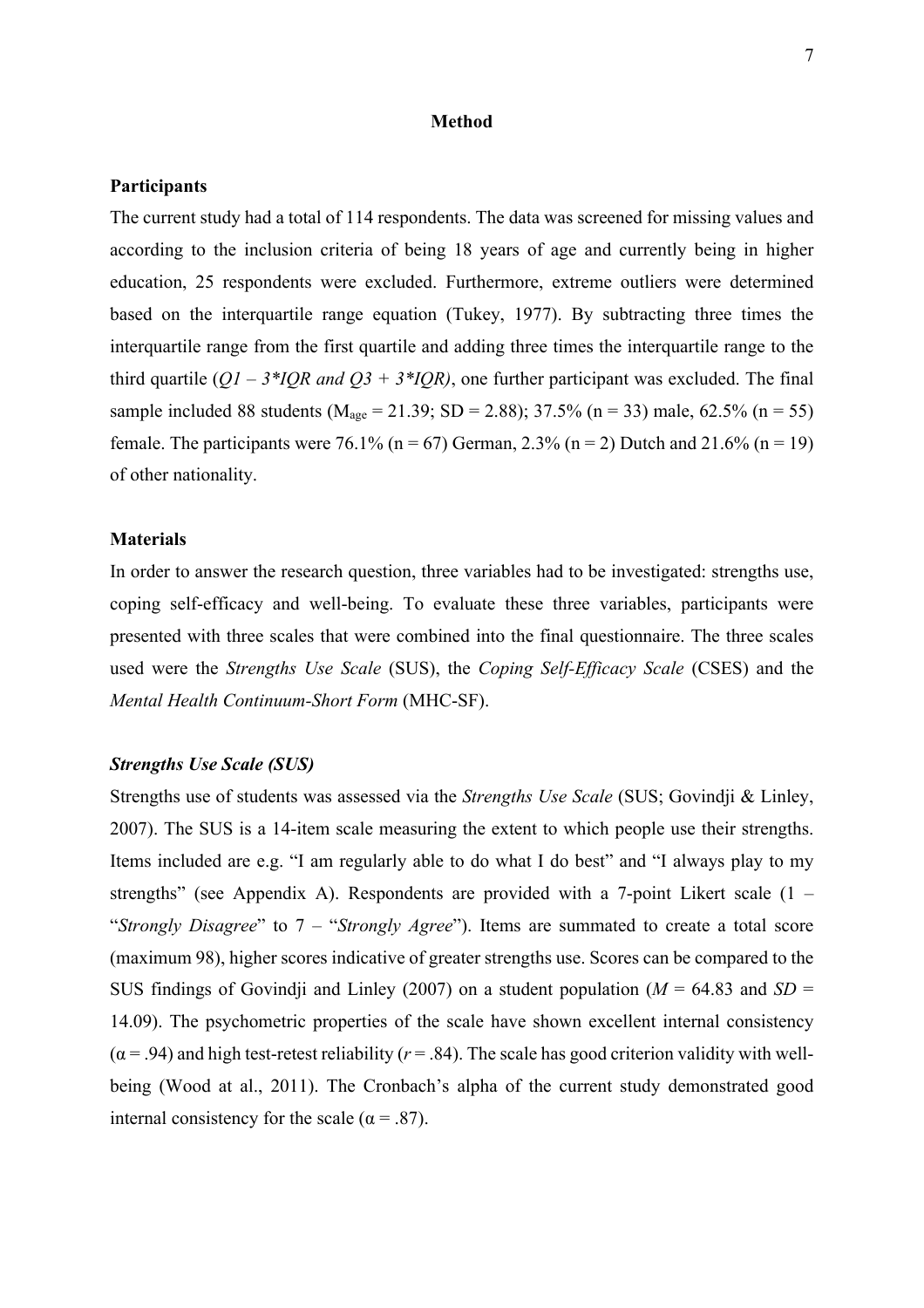## **Method**

## **Participants**

The current study had a total of 114 respondents. The data was screened for missing values and according to the inclusion criteria of being 18 years of age and currently being in higher education, 25 respondents were excluded. Furthermore, extreme outliers were determined based on the interquartile range equation (Tukey, 1977). By subtracting three times the interquartile range from the first quartile and adding three times the interquartile range to the third quartile  $(QI - 3 \cdot IQR$  and  $Q3 + 3 \cdot IQR)$ , one further participant was excluded. The final sample included 88 students ( $M_{\text{age}} = 21.39$ ; SD = 2.88); 37.5% (n = 33) male, 62.5% (n = 55) female. The participants were 76.1% ( $n = 67$ ) German, 2.3% ( $n = 2$ ) Dutch and 21.6% ( $n = 19$ ) of other nationality.

## **Materials**

In order to answer the research question, three variables had to be investigated: strengths use, coping self-efficacy and well-being. To evaluate these three variables, participants were presented with three scales that were combined into the final questionnaire. The three scales used were the *Strengths Use Scale* (SUS), the *Coping Self-Efficacy Scale* (CSES) and the *Mental Health Continuum-Short Form* (MHC-SF).

## *Strengths Use Scale (SUS)*

Strengths use of students was assessed via the *Strengths Use Scale* (SUS; Govindji & Linley, 2007). The SUS is a 14-item scale measuring the extent to which people use their strengths. Items included are e.g. "I am regularly able to do what I do best" and "I always play to my strengths" (see Appendix A). Respondents are provided with a 7-point Likert scale  $(1 -$ "*Strongly Disagree*" to 7 – "*Strongly Agree*"). Items are summated to create a total score (maximum 98), higher scores indicative of greater strengths use. Scores can be compared to the SUS findings of Govindji and Linley (2007) on a student population ( $M = 64.83$  and  $SD =$ 14.09). The psychometric properties of the scale have shown excellent internal consistency  $(\alpha = .94)$  and high test-retest reliability ( $r = .84$ ). The scale has good criterion validity with wellbeing (Wood at al., 2011). The Cronbach's alpha of the current study demonstrated good internal consistency for the scale ( $\alpha = .87$ ).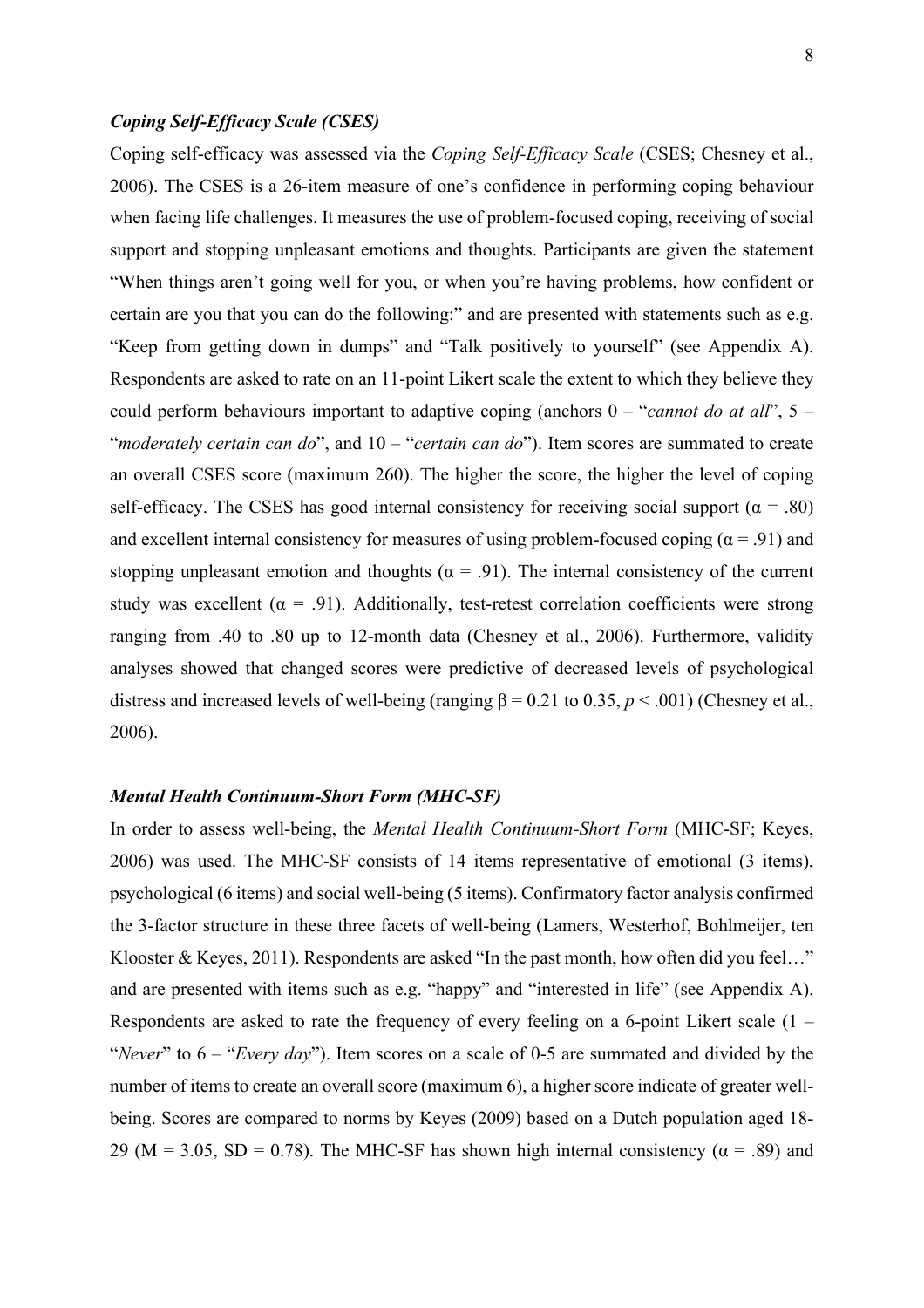## *Coping Self-Efficacy Scale (CSES)*

Coping self-efficacy was assessed via the *Coping Self-Efficacy Scale* (CSES; Chesney et al., 2006). The CSES is a 26-item measure of one's confidence in performing coping behaviour when facing life challenges. It measures the use of problem-focused coping, receiving of social support and stopping unpleasant emotions and thoughts. Participants are given the statement "When things aren't going well for you, or when you're having problems, how confident or certain are you that you can do the following:" and are presented with statements such as e.g. "Keep from getting down in dumps" and "Talk positively to yourself" (see Appendix A). Respondents are asked to rate on an 11-point Likert scale the extent to which they believe they could perform behaviours important to adaptive coping (anchors 0 – "*cannot do at all*", 5 – "*moderately certain can do*", and 10 – "*certain can do*"). Item scores are summated to create an overall CSES score (maximum 260). The higher the score, the higher the level of coping self-efficacy. The CSES has good internal consistency for receiving social support ( $\alpha$  = .80) and excellent internal consistency for measures of using problem-focused coping ( $\alpha$  = .91) and stopping unpleasant emotion and thoughts ( $\alpha$  = .91). The internal consistency of the current study was excellent ( $\alpha = .91$ ). Additionally, test-retest correlation coefficients were strong ranging from .40 to .80 up to 12-month data (Chesney et al., 2006). Furthermore, validity analyses showed that changed scores were predictive of decreased levels of psychological distress and increased levels of well-being (ranging  $\beta = 0.21$  to 0.35,  $p < .001$ ) (Chesney et al., 2006).

## *Mental Health Continuum-Short Form (MHC-SF)*

In order to assess well-being, the *Mental Health Continuum-Short Form* (MHC-SF; Keyes, 2006) was used. The MHC-SF consists of 14 items representative of emotional (3 items), psychological (6 items) and social well-being (5 items). Confirmatory factor analysis confirmed the 3-factor structure in these three facets of well-being (Lamers, Westerhof, Bohlmeijer, ten Klooster & Keyes, 2011). Respondents are asked "In the past month, how often did you feel…" and are presented with items such as e.g. "happy" and "interested in life" (see Appendix A). Respondents are asked to rate the frequency of every feeling on a 6-point Likert scale (1 – "*Never*" to 6 – "*Every day*"). Item scores on a scale of 0-5 are summated and divided by the number of items to create an overall score (maximum 6), a higher score indicate of greater wellbeing. Scores are compared to norms by Keyes (2009) based on a Dutch population aged 18- 29 (M = 3.05, SD = 0.78). The MHC-SF has shown high internal consistency ( $\alpha$  = .89) and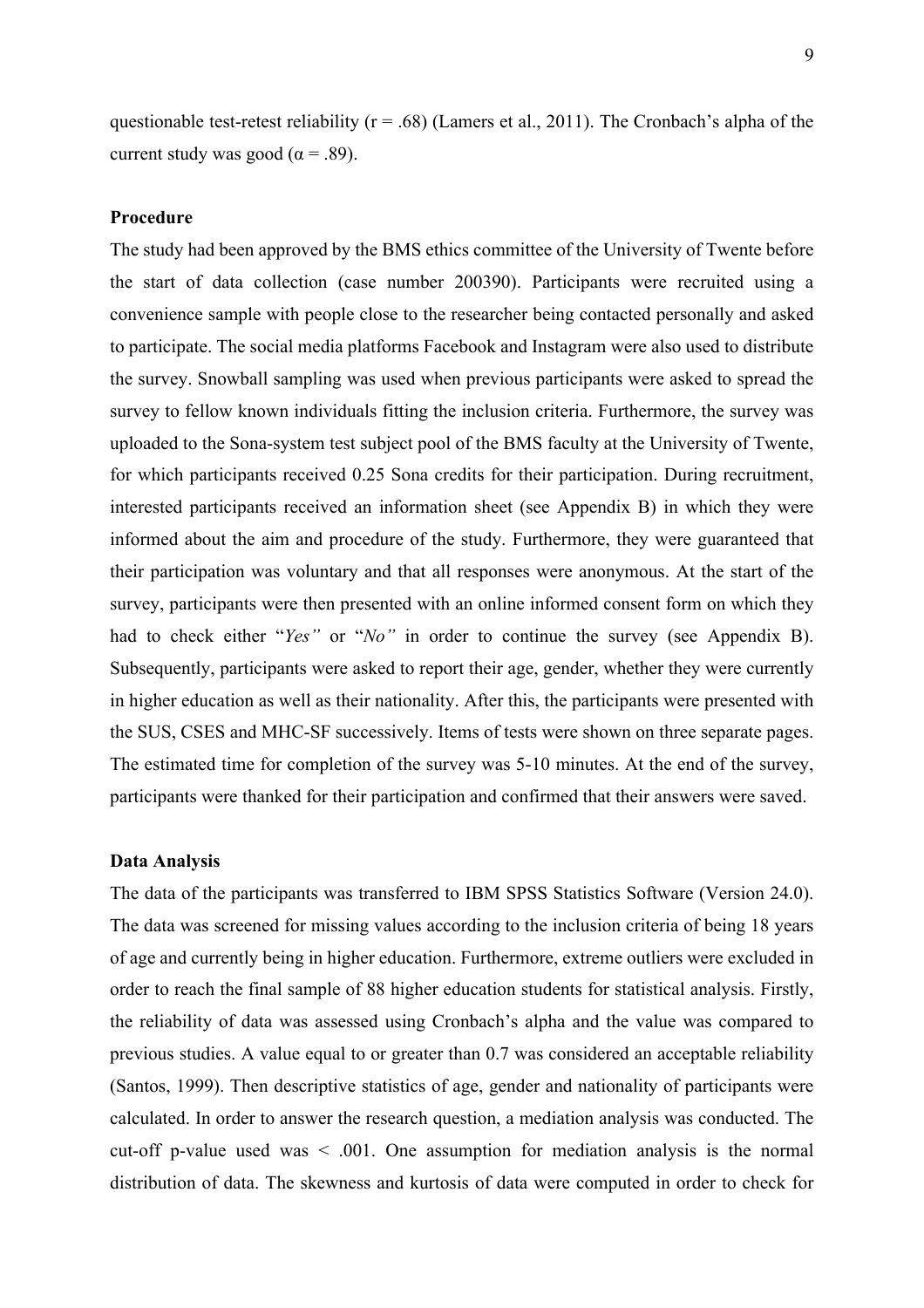questionable test-retest reliability ( $r = .68$ ) (Lamers et al., 2011). The Cronbach's alpha of the current study was good ( $\alpha$  = .89).

## **Procedure**

The study had been approved by the BMS ethics committee of the University of Twente before the start of data collection (case number 200390). Participants were recruited using a convenience sample with people close to the researcher being contacted personally and asked to participate. The social media platforms Facebook and Instagram were also used to distribute the survey. Snowball sampling was used when previous participants were asked to spread the survey to fellow known individuals fitting the inclusion criteria. Furthermore, the survey was uploaded to the Sona-system test subject pool of the BMS faculty at the University of Twente, for which participants received 0.25 Sona credits for their participation. During recruitment, interested participants received an information sheet (see Appendix B) in which they were informed about the aim and procedure of the study. Furthermore, they were guaranteed that their participation was voluntary and that all responses were anonymous. At the start of the survey, participants were then presented with an online informed consent form on which they had to check either "*Yes"* or "*No"* in order to continue the survey (see Appendix B). Subsequently, participants were asked to report their age, gender, whether they were currently in higher education as well as their nationality. After this, the participants were presented with the SUS, CSES and MHC-SF successively. Items of tests were shown on three separate pages. The estimated time for completion of the survey was 5-10 minutes. At the end of the survey, participants were thanked for their participation and confirmed that their answers were saved.

#### **Data Analysis**

The data of the participants was transferred to IBM SPSS Statistics Software (Version 24.0). The data was screened for missing values according to the inclusion criteria of being 18 years of age and currently being in higher education. Furthermore, extreme outliers were excluded in order to reach the final sample of 88 higher education students for statistical analysis. Firstly, the reliability of data was assessed using Cronbach's alpha and the value was compared to previous studies. A value equal to or greater than 0.7 was considered an acceptable reliability (Santos, 1999). Then descriptive statistics of age, gender and nationality of participants were calculated. In order to answer the research question, a mediation analysis was conducted. The cut-off p-value used was  $\leq$  0.01. One assumption for mediation analysis is the normal distribution of data. The skewness and kurtosis of data were computed in order to check for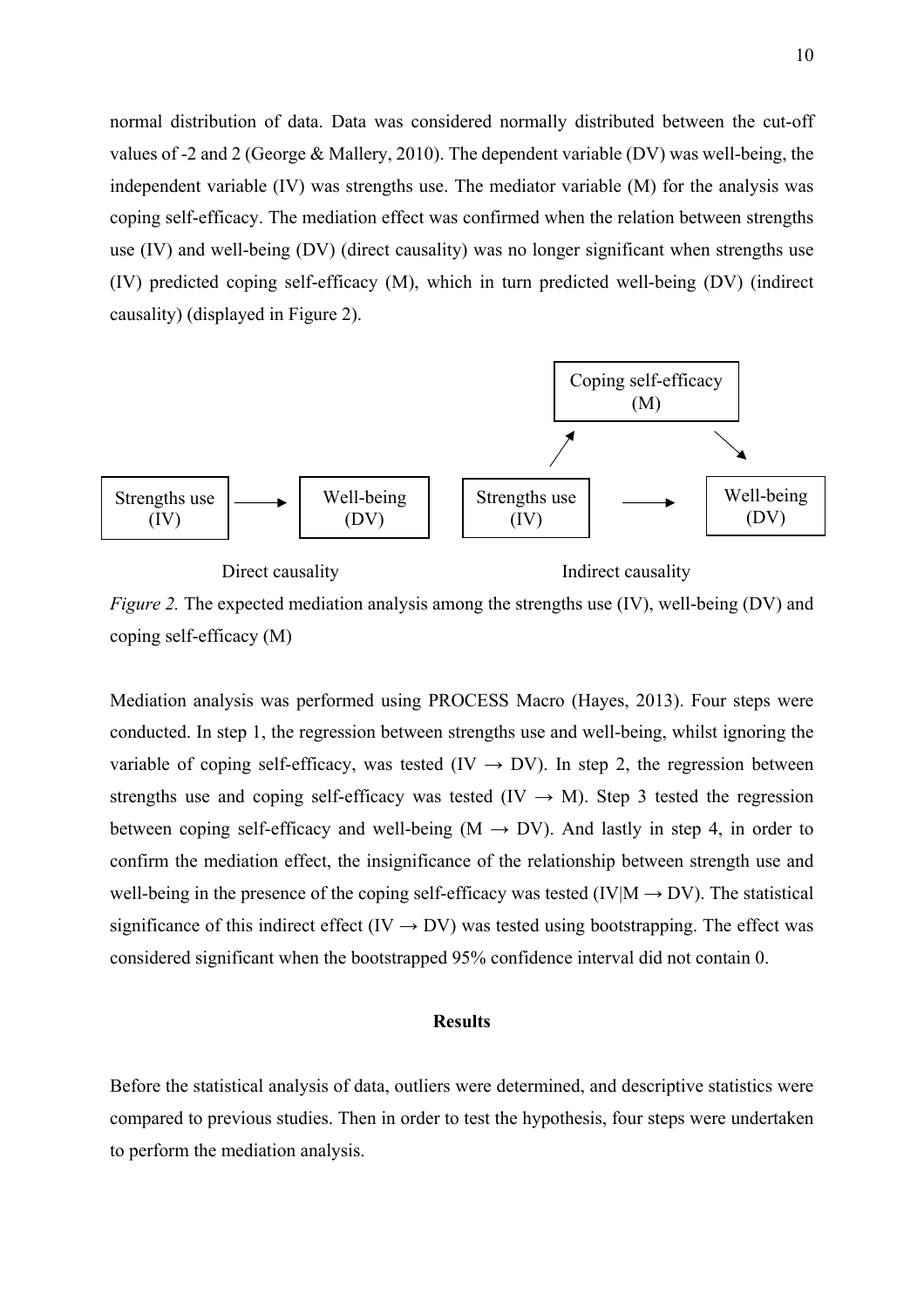normal distribution of data. Data was considered normally distributed between the cut-off values of -2 and 2 (George & Mallery, 2010). The dependent variable (DV) was well-being, the independent variable (IV) was strengths use. The mediator variable (M) for the analysis was coping self-efficacy. The mediation effect was confirmed when the relation between strengths use (IV) and well-being (DV) (direct causality) was no longer significant when strengths use (IV) predicted coping self-efficacy (M), which in turn predicted well-being (DV) (indirect causality) (displayed in Figure 2).



*Figure 2.* The expected mediation analysis among the strengths use (IV), well-being (DV) and coping self-efficacy (M)

Mediation analysis was performed using PROCESS Macro (Hayes, 2013). Four steps were conducted. In step 1, the regression between strengths use and well-being, whilst ignoring the variable of coping self-efficacy, was tested (IV  $\rightarrow$  DV). In step 2, the regression between strengths use and coping self-efficacy was tested (IV  $\rightarrow$  M). Step 3 tested the regression between coping self-efficacy and well-being  $(M \rightarrow DV)$ . And lastly in step 4, in order to confirm the mediation effect, the insignificance of the relationship between strength use and well-being in the presence of the coping self-efficacy was tested (IV|M  $\rightarrow$  DV). The statistical significance of this indirect effect (IV  $\rightarrow$  DV) was tested using bootstrapping. The effect was considered significant when the bootstrapped 95% confidence interval did not contain 0.

## **Results**

Before the statistical analysis of data, outliers were determined, and descriptive statistics were compared to previous studies. Then in order to test the hypothesis, four steps were undertaken to perform the mediation analysis.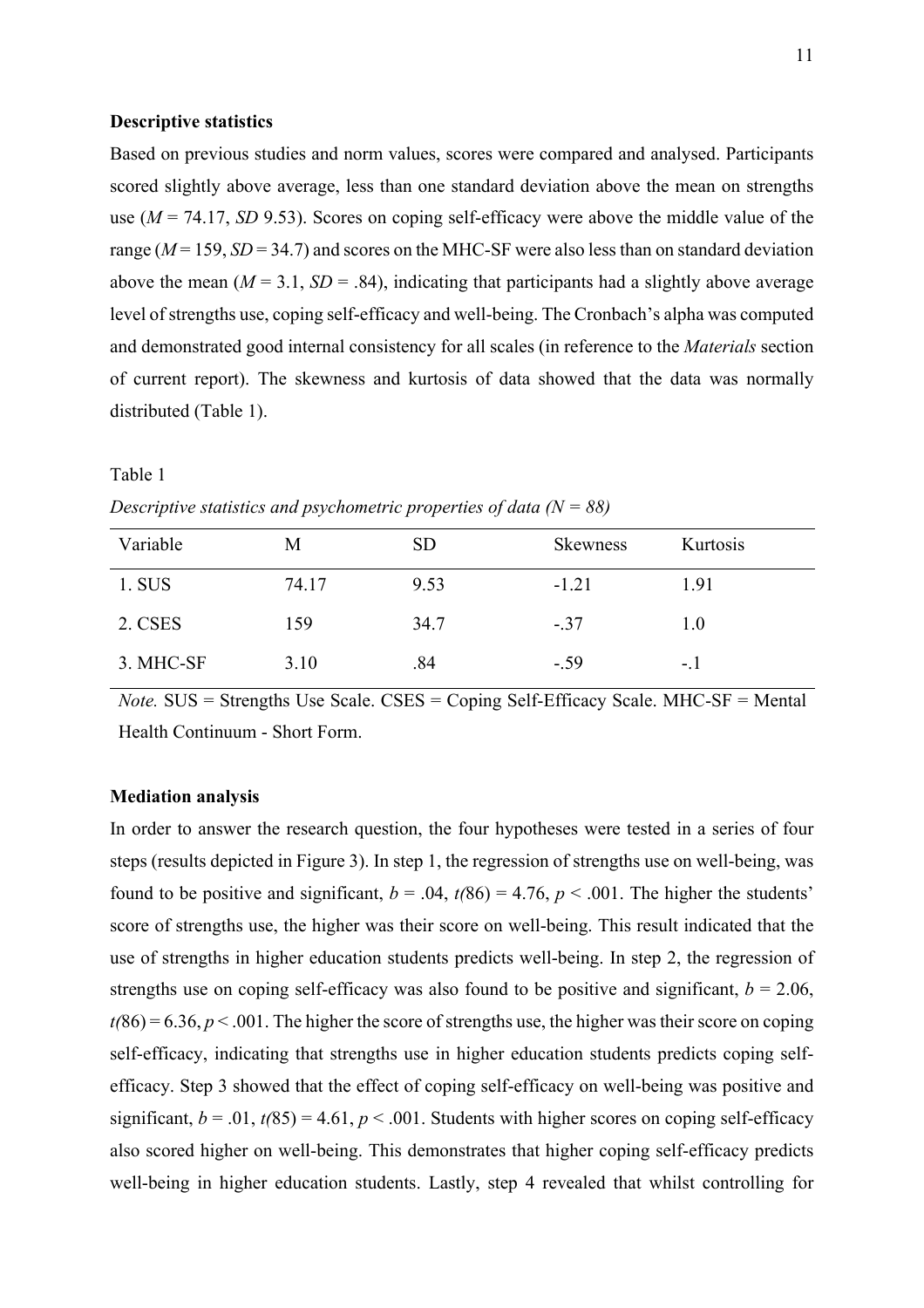## **Descriptive statistics**

Based on previous studies and norm values, scores were compared and analysed. Participants scored slightly above average, less than one standard deviation above the mean on strengths use (*M* = 74.17, *SD* 9.53). Scores on coping self-efficacy were above the middle value of the range ( $M = 159$ ,  $SD = 34.7$ ) and scores on the MHC-SF were also less than on standard deviation above the mean  $(M = 3.1, SD = .84)$ , indicating that participants had a slightly above average level of strengths use, coping self-efficacy and well-being. The Cronbach's alpha was computed and demonstrated good internal consistency for all scales (in reference to the *Materials* section of current report). The skewness and kurtosis of data showed that the data was normally distributed (Table 1).

# Table 1

| Variable  | М     | <b>SD</b> | <b>Skewness</b> | Kurtosis |
|-----------|-------|-----------|-----------------|----------|
| 1. SUS    | 74.17 | 9.53      | $-1.21$         | 1.91     |
| 2. CSES   | 159   | 34.7      | $-.37$          | 1.0      |
| 3. MHC-SF | 3.10  | .84       | $-.59$          | $-1$     |

*Descriptive statistics and psychometric properties of data (N = 88)*

*Note.* SUS = Strengths Use Scale. CSES = Coping Self-Efficacy Scale. MHC-SF = Mental Health Continuum - Short Form.

## **Mediation analysis**

In order to answer the research question, the four hypotheses were tested in a series of four steps (results depicted in Figure 3). In step 1, the regression of strengths use on well-being, was found to be positive and significant,  $b = .04$ ,  $t(86) = 4.76$ ,  $p < .001$ . The higher the students' score of strengths use, the higher was their score on well-being. This result indicated that the use of strengths in higher education students predicts well-being. In step 2, the regression of strengths use on coping self-efficacy was also found to be positive and significant,  $b = 2.06$ ,  $t(86) = 6.36, p < .001$ . The higher the score of strengths use, the higher was their score on coping self-efficacy, indicating that strengths use in higher education students predicts coping selfefficacy. Step 3 showed that the effect of coping self-efficacy on well-being was positive and significant,  $b = .01$ ,  $t(85) = 4.61$ ,  $p < .001$ . Students with higher scores on coping self-efficacy also scored higher on well-being. This demonstrates that higher coping self-efficacy predicts well-being in higher education students. Lastly, step 4 revealed that whilst controlling for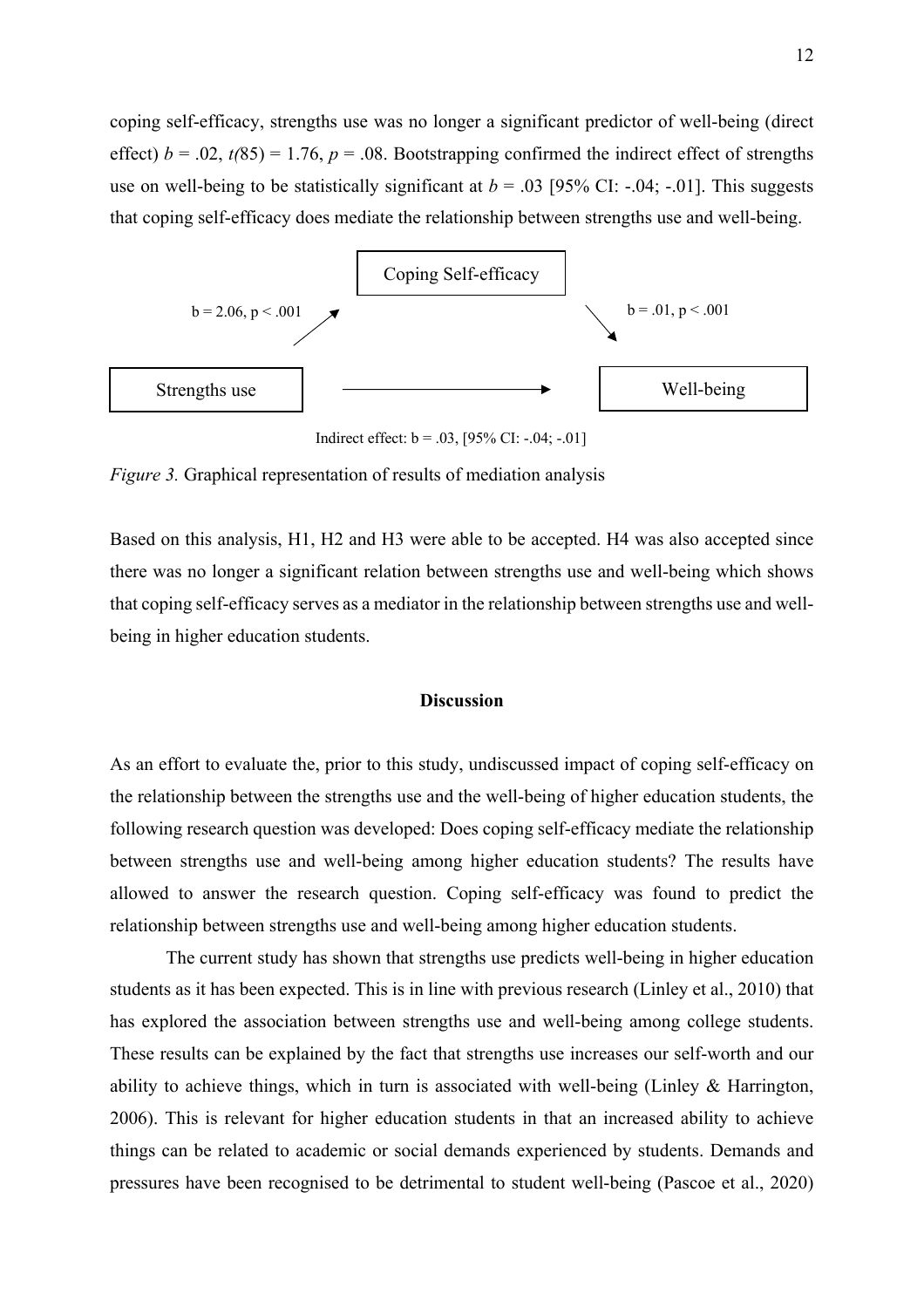coping self-efficacy, strengths use was no longer a significant predictor of well-being (direct effect)  $b = .02$ ,  $t(85) = 1.76$ ,  $p = .08$ . Bootstrapping confirmed the indirect effect of strengths use on well-being to be statistically significant at  $b = .03$  [95% CI: -.04; -.01]. This suggests that coping self-efficacy does mediate the relationship between strengths use and well-being.



Indirect effect:  $b = .03$ , [95% CI: -.04; -.01]

*Figure 3.* Graphical representation of results of mediation analysis

Based on this analysis, H1, H2 and H3 were able to be accepted. H4 was also accepted since there was no longer a significant relation between strengths use and well-being which shows that coping self-efficacy serves as a mediator in the relationship between strengths use and wellbeing in higher education students.

## **Discussion**

As an effort to evaluate the, prior to this study, undiscussed impact of coping self-efficacy on the relationship between the strengths use and the well-being of higher education students, the following research question was developed: Does coping self-efficacy mediate the relationship between strengths use and well-being among higher education students? The results have allowed to answer the research question. Coping self-efficacy was found to predict the relationship between strengths use and well-being among higher education students.

The current study has shown that strengths use predicts well-being in higher education students as it has been expected. This is in line with previous research (Linley et al., 2010) that has explored the association between strengths use and well-being among college students. These results can be explained by the fact that strengths use increases our self-worth and our ability to achieve things, which in turn is associated with well-being (Linley & Harrington, 2006). This is relevant for higher education students in that an increased ability to achieve things can be related to academic or social demands experienced by students. Demands and pressures have been recognised to be detrimental to student well-being (Pascoe et al., 2020)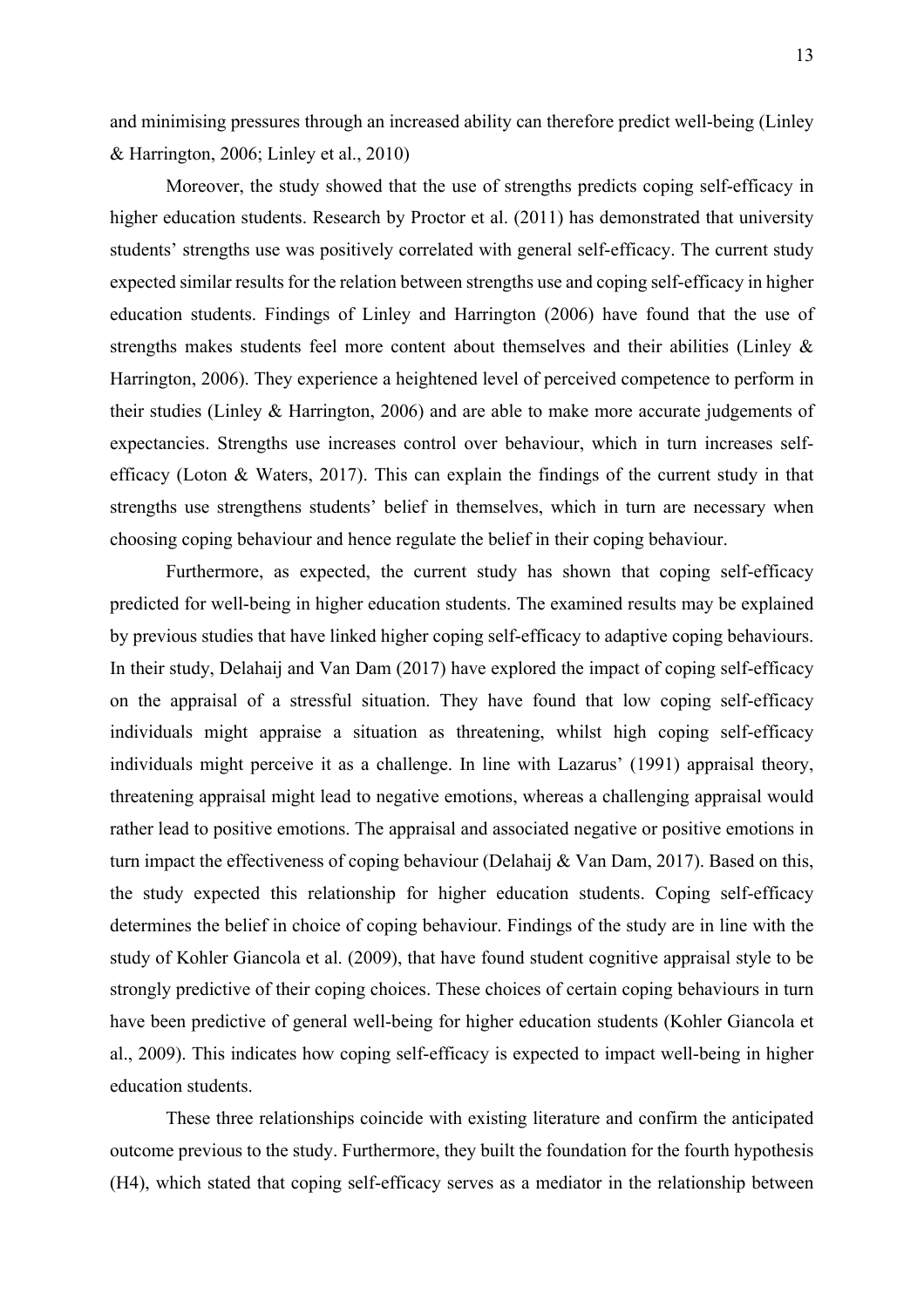and minimising pressures through an increased ability can therefore predict well-being (Linley & Harrington, 2006; Linley et al., 2010)

Moreover, the study showed that the use of strengths predicts coping self-efficacy in higher education students. Research by Proctor et al. (2011) has demonstrated that university students' strengths use was positively correlated with general self-efficacy. The current study expected similar results for the relation between strengths use and coping self-efficacy in higher education students. Findings of Linley and Harrington (2006) have found that the use of strengths makes students feel more content about themselves and their abilities (Linley & Harrington, 2006). They experience a heightened level of perceived competence to perform in their studies (Linley & Harrington, 2006) and are able to make more accurate judgements of expectancies. Strengths use increases control over behaviour, which in turn increases selfefficacy (Loton & Waters, 2017). This can explain the findings of the current study in that strengths use strengthens students' belief in themselves, which in turn are necessary when choosing coping behaviour and hence regulate the belief in their coping behaviour.

Furthermore, as expected, the current study has shown that coping self-efficacy predicted for well-being in higher education students. The examined results may be explained by previous studies that have linked higher coping self-efficacy to adaptive coping behaviours. In their study, Delahaij and Van Dam (2017) have explored the impact of coping self-efficacy on the appraisal of a stressful situation. They have found that low coping self-efficacy individuals might appraise a situation as threatening, whilst high coping self-efficacy individuals might perceive it as a challenge. In line with Lazarus' (1991) appraisal theory, threatening appraisal might lead to negative emotions, whereas a challenging appraisal would rather lead to positive emotions. The appraisal and associated negative or positive emotions in turn impact the effectiveness of coping behaviour (Delahaij & Van Dam, 2017). Based on this, the study expected this relationship for higher education students. Coping self-efficacy determines the belief in choice of coping behaviour. Findings of the study are in line with the study of Kohler Giancola et al. (2009), that have found student cognitive appraisal style to be strongly predictive of their coping choices. These choices of certain coping behaviours in turn have been predictive of general well-being for higher education students (Kohler Giancola et al., 2009). This indicates how coping self-efficacy is expected to impact well-being in higher education students.

These three relationships coincide with existing literature and confirm the anticipated outcome previous to the study. Furthermore, they built the foundation for the fourth hypothesis (H4), which stated that coping self-efficacy serves as a mediator in the relationship between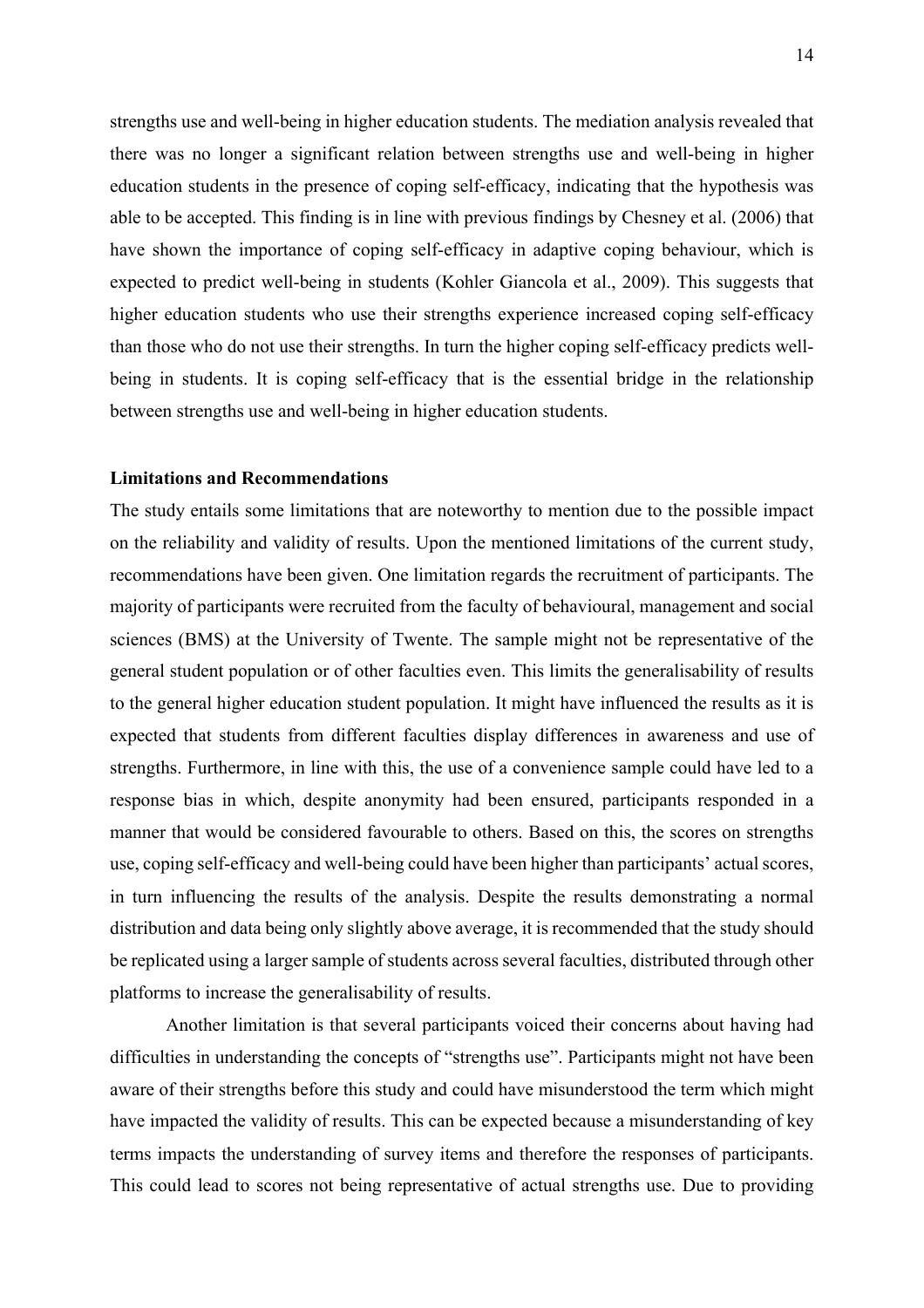strengths use and well-being in higher education students. The mediation analysis revealed that there was no longer a significant relation between strengths use and well-being in higher education students in the presence of coping self-efficacy, indicating that the hypothesis was able to be accepted. This finding is in line with previous findings by Chesney et al. (2006) that have shown the importance of coping self-efficacy in adaptive coping behaviour, which is expected to predict well-being in students (Kohler Giancola et al., 2009). This suggests that higher education students who use their strengths experience increased coping self-efficacy than those who do not use their strengths. In turn the higher coping self-efficacy predicts wellbeing in students. It is coping self-efficacy that is the essential bridge in the relationship between strengths use and well-being in higher education students.

## **Limitations and Recommendations**

The study entails some limitations that are noteworthy to mention due to the possible impact on the reliability and validity of results. Upon the mentioned limitations of the current study, recommendations have been given. One limitation regards the recruitment of participants. The majority of participants were recruited from the faculty of behavioural, management and social sciences (BMS) at the University of Twente. The sample might not be representative of the general student population or of other faculties even. This limits the generalisability of results to the general higher education student population. It might have influenced the results as it is expected that students from different faculties display differences in awareness and use of strengths. Furthermore, in line with this, the use of a convenience sample could have led to a response bias in which, despite anonymity had been ensured, participants responded in a manner that would be considered favourable to others. Based on this, the scores on strengths use, coping self-efficacy and well-being could have been higher than participants' actual scores, in turn influencing the results of the analysis. Despite the results demonstrating a normal distribution and data being only slightly above average, it is recommended that the study should be replicated using a larger sample of students across several faculties, distributed through other platforms to increase the generalisability of results.

Another limitation is that several participants voiced their concerns about having had difficulties in understanding the concepts of "strengths use". Participants might not have been aware of their strengths before this study and could have misunderstood the term which might have impacted the validity of results. This can be expected because a misunderstanding of key terms impacts the understanding of survey items and therefore the responses of participants. This could lead to scores not being representative of actual strengths use. Due to providing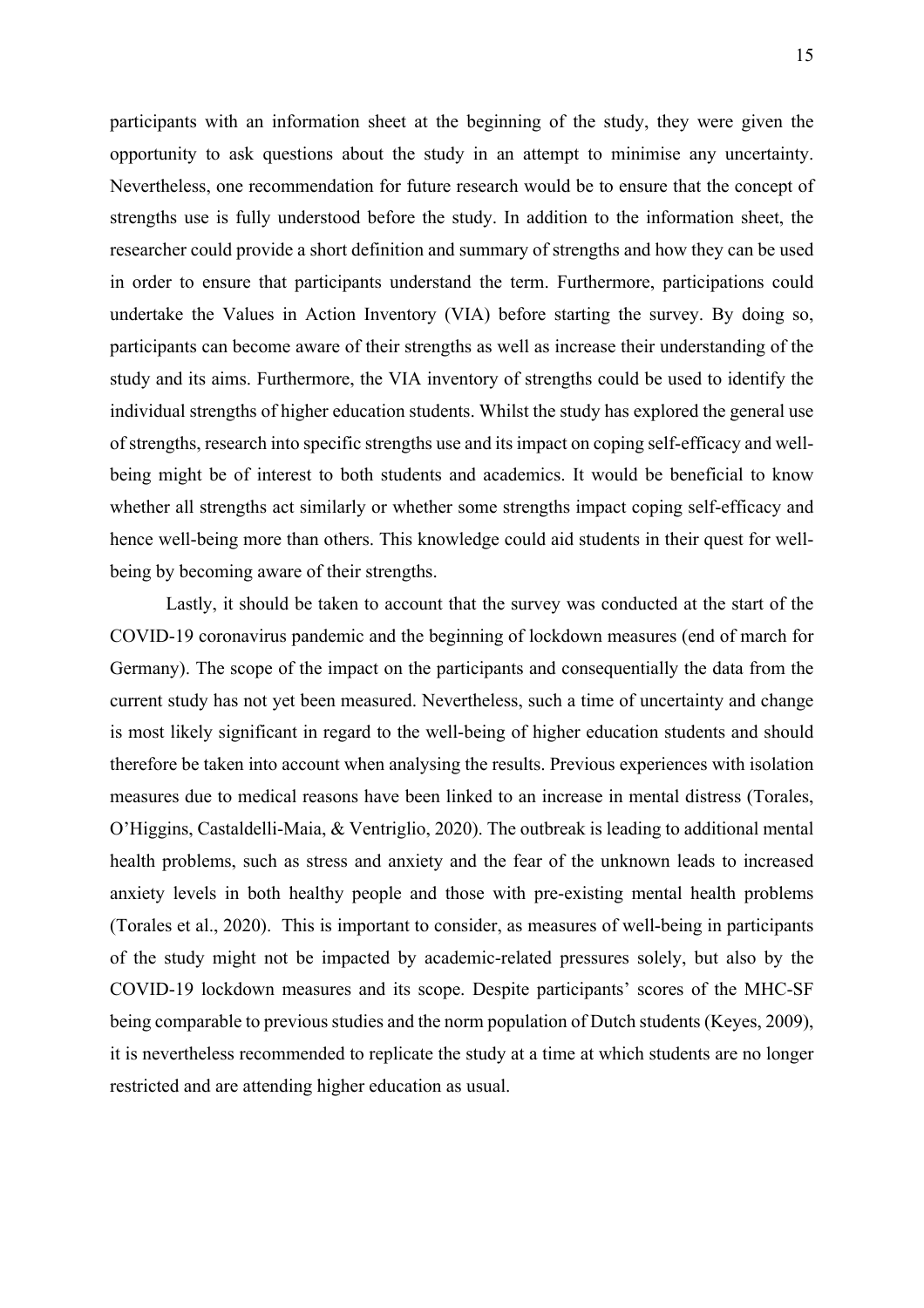participants with an information sheet at the beginning of the study, they were given the opportunity to ask questions about the study in an attempt to minimise any uncertainty. Nevertheless, one recommendation for future research would be to ensure that the concept of strengths use is fully understood before the study. In addition to the information sheet, the researcher could provide a short definition and summary of strengths and how they can be used in order to ensure that participants understand the term. Furthermore, participations could undertake the Values in Action Inventory (VIA) before starting the survey. By doing so, participants can become aware of their strengths as well as increase their understanding of the study and its aims. Furthermore, the VIA inventory of strengths could be used to identify the individual strengths of higher education students. Whilst the study has explored the general use of strengths, research into specific strengths use and its impact on coping self-efficacy and wellbeing might be of interest to both students and academics. It would be beneficial to know whether all strengths act similarly or whether some strengths impact coping self-efficacy and hence well-being more than others. This knowledge could aid students in their quest for wellbeing by becoming aware of their strengths.

Lastly, it should be taken to account that the survey was conducted at the start of the COVID-19 coronavirus pandemic and the beginning of lockdown measures (end of march for Germany). The scope of the impact on the participants and consequentially the data from the current study has not yet been measured. Nevertheless, such a time of uncertainty and change is most likely significant in regard to the well-being of higher education students and should therefore be taken into account when analysing the results. Previous experiences with isolation measures due to medical reasons have been linked to an increase in mental distress (Torales, O'Higgins, Castaldelli-Maia, & Ventriglio, 2020). The outbreak is leading to additional mental health problems, such as stress and anxiety and the fear of the unknown leads to increased anxiety levels in both healthy people and those with pre-existing mental health problems (Torales et al., 2020). This is important to consider, as measures of well-being in participants of the study might not be impacted by academic-related pressures solely, but also by the COVID-19 lockdown measures and its scope. Despite participants' scores of the MHC-SF being comparable to previous studies and the norm population of Dutch students (Keyes, 2009), it is nevertheless recommended to replicate the study at a time at which students are no longer restricted and are attending higher education as usual.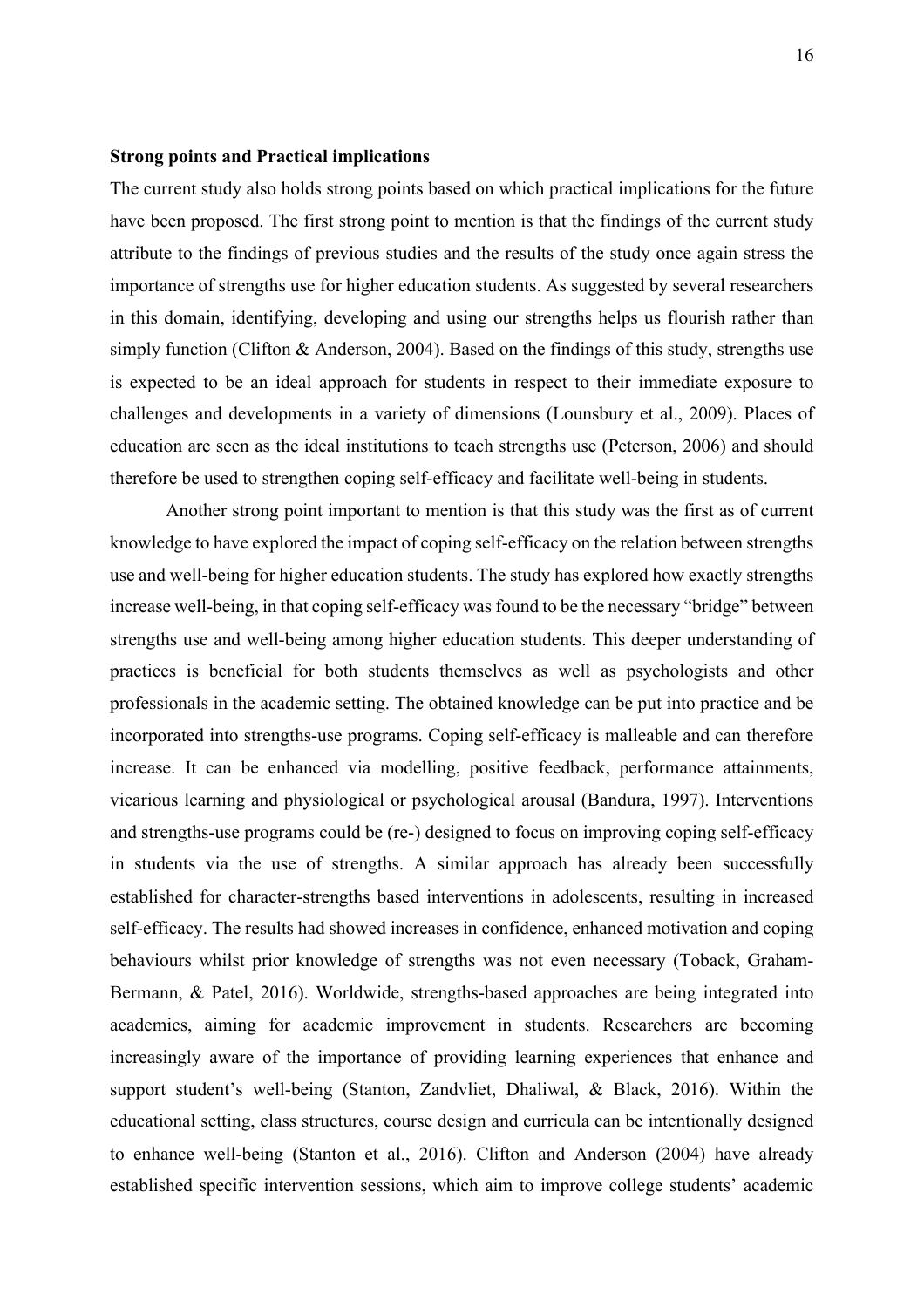#### **Strong points and Practical implications**

The current study also holds strong points based on which practical implications for the future have been proposed. The first strong point to mention is that the findings of the current study attribute to the findings of previous studies and the results of the study once again stress the importance of strengths use for higher education students. As suggested by several researchers in this domain, identifying, developing and using our strengths helps us flourish rather than simply function (Clifton & Anderson, 2004). Based on the findings of this study, strengths use is expected to be an ideal approach for students in respect to their immediate exposure to challenges and developments in a variety of dimensions (Lounsbury et al., 2009). Places of education are seen as the ideal institutions to teach strengths use (Peterson, 2006) and should therefore be used to strengthen coping self-efficacy and facilitate well-being in students.

Another strong point important to mention is that this study was the first as of current knowledge to have explored the impact of coping self-efficacy on the relation between strengths use and well-being for higher education students. The study has explored how exactly strengths increase well-being, in that coping self-efficacy was found to be the necessary "bridge" between strengths use and well-being among higher education students. This deeper understanding of practices is beneficial for both students themselves as well as psychologists and other professionals in the academic setting. The obtained knowledge can be put into practice and be incorporated into strengths-use programs. Coping self-efficacy is malleable and can therefore increase. It can be enhanced via modelling, positive feedback, performance attainments, vicarious learning and physiological or psychological arousal (Bandura, 1997). Interventions and strengths-use programs could be (re-) designed to focus on improving coping self-efficacy in students via the use of strengths. A similar approach has already been successfully established for character-strengths based interventions in adolescents, resulting in increased self-efficacy. The results had showed increases in confidence, enhanced motivation and coping behaviours whilst prior knowledge of strengths was not even necessary (Toback, Graham-Bermann, & Patel, 2016). Worldwide, strengths-based approaches are being integrated into academics, aiming for academic improvement in students. Researchers are becoming increasingly aware of the importance of providing learning experiences that enhance and support student's well-being (Stanton, Zandvliet, Dhaliwal, & Black, 2016). Within the educational setting, class structures, course design and curricula can be intentionally designed to enhance well-being (Stanton et al., 2016). Clifton and Anderson (2004) have already established specific intervention sessions, which aim to improve college students' academic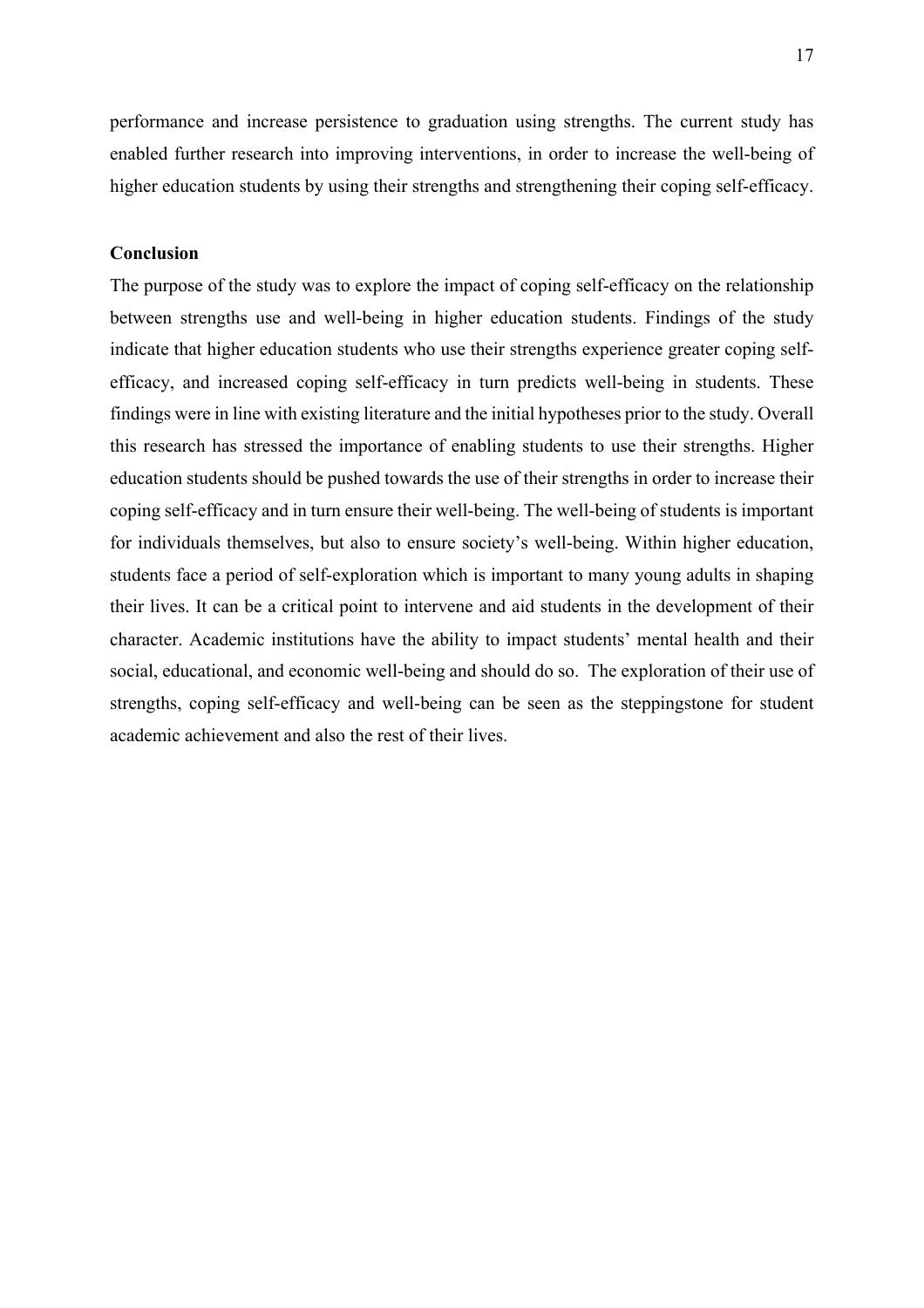performance and increase persistence to graduation using strengths. The current study has enabled further research into improving interventions, in order to increase the well-being of higher education students by using their strengths and strengthening their coping self-efficacy.

## **Conclusion**

The purpose of the study was to explore the impact of coping self-efficacy on the relationship between strengths use and well-being in higher education students. Findings of the study indicate that higher education students who use their strengths experience greater coping selfefficacy, and increased coping self-efficacy in turn predicts well-being in students. These findings were in line with existing literature and the initial hypotheses prior to the study. Overall this research has stressed the importance of enabling students to use their strengths. Higher education students should be pushed towards the use of their strengths in order to increase their coping self-efficacy and in turn ensure their well-being. The well-being of students is important for individuals themselves, but also to ensure society's well-being. Within higher education, students face a period of self-exploration which is important to many young adults in shaping their lives. It can be a critical point to intervene and aid students in the development of their character. Academic institutions have the ability to impact students' mental health and their social, educational, and economic well-being and should do so. The exploration of their use of strengths, coping self-efficacy and well-being can be seen as the steppingstone for student academic achievement and also the rest of their lives.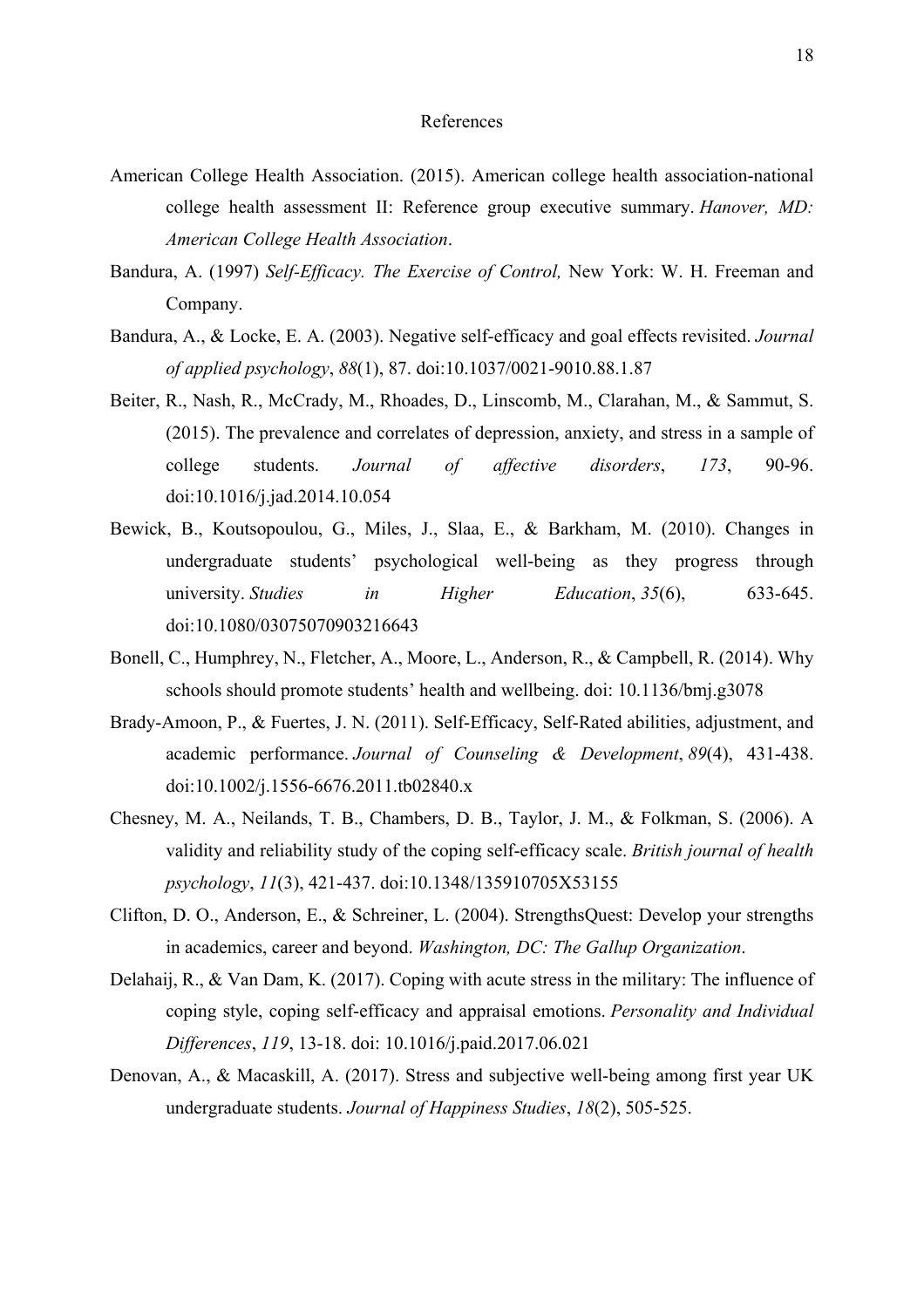#### References

- American College Health Association. (2015). American college health association-national college health assessment II: Reference group executive summary. *Hanover, MD: American College Health Association*.
- Bandura, A. (1997) *Self-Efficacy. The Exercise of Control,* New York: W. H. Freeman and Company.
- Bandura, A., & Locke, E. A. (2003). Negative self-efficacy and goal effects revisited. *Journal of applied psychology*, *88*(1), 87. doi:10.1037/0021-9010.88.1.87
- Beiter, R., Nash, R., McCrady, M., Rhoades, D., Linscomb, M., Clarahan, M., & Sammut, S. (2015). The prevalence and correlates of depression, anxiety, and stress in a sample of college students. *Journal of affective disorders*, *173*, 90-96. doi:10.1016/j.jad.2014.10.054
- Bewick, B., Koutsopoulou, G., Miles, J., Slaa, E., & Barkham, M. (2010). Changes in undergraduate students' psychological well-being as they progress through university. *Studies in Higher Education*, *35*(6), 633-645. doi:10.1080/03075070903216643
- Bonell, C., Humphrey, N., Fletcher, A., Moore, L., Anderson, R., & Campbell, R. (2014). Why schools should promote students' health and wellbeing. doi: 10.1136/bmj.g3078
- Brady‐Amoon, P., & Fuertes, J. N. (2011). Self‐Efficacy, Self‐Rated abilities, adjustment, and academic performance. *Journal of Counseling & Development*, *89*(4), 431-438. doi:10.1002/j.1556-6676.2011.tb02840.x
- Chesney, M. A., Neilands, T. B., Chambers, D. B., Taylor, J. M., & Folkman, S. (2006). A validity and reliability study of the coping self‐efficacy scale. *British journal of health psychology*, *11*(3), 421-437. doi:10.1348/135910705X53155
- Clifton, D. O., Anderson, E., & Schreiner, L. (2004). StrengthsQuest: Develop your strengths in academics, career and beyond. *Washington, DC: The Gallup Organization*.
- Delahaij, R., & Van Dam, K. (2017). Coping with acute stress in the military: The influence of coping style, coping self-efficacy and appraisal emotions. *Personality and Individual Differences*, *119*, 13-18. doi: 10.1016/j.paid.2017.06.021
- Denovan, A., & Macaskill, A. (2017). Stress and subjective well-being among first year UK undergraduate students. *Journal of Happiness Studies*, *18*(2), 505-525.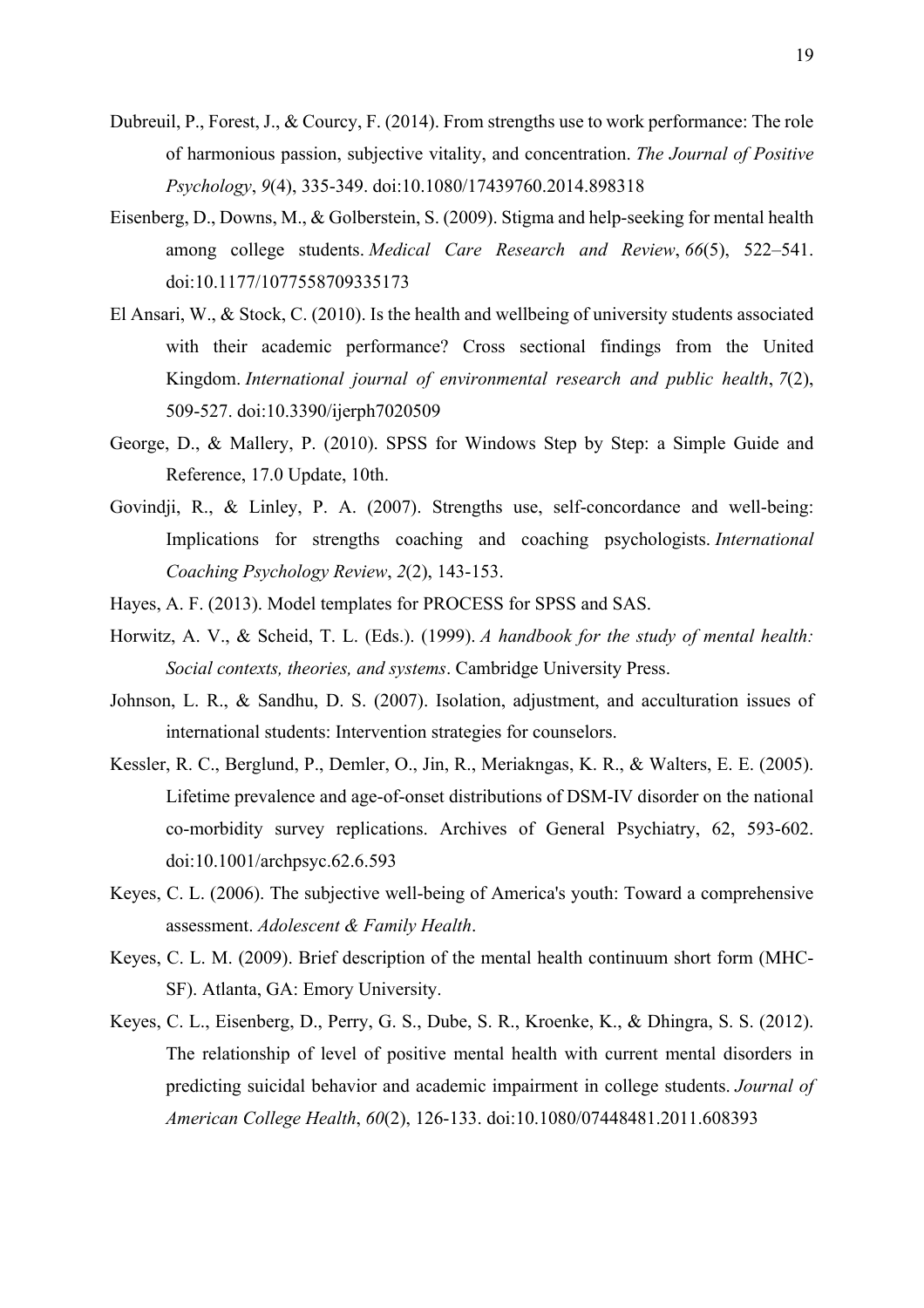- Dubreuil, P., Forest, J., & Courcy, F. (2014). From strengths use to work performance: The role of harmonious passion, subjective vitality, and concentration. *The Journal of Positive Psychology*, *9*(4), 335-349. doi:10.1080/17439760.2014.898318
- Eisenberg, D., Downs, M., & Golberstein, S. (2009). Stigma and help-seeking for mental health among college students. *Medical Care Research and Review*, *66*(5), 522–541. doi:10.1177/1077558709335173
- El Ansari, W., & Stock, C. (2010). Is the health and wellbeing of university students associated with their academic performance? Cross sectional findings from the United Kingdom. *International journal of environmental research and public health*, *7*(2), 509-527. doi:10.3390/ijerph7020509
- George, D., & Mallery, P. (2010). SPSS for Windows Step by Step: a Simple Guide and Reference, 17.0 Update, 10th.
- Govindji, R., & Linley, P. A. (2007). Strengths use, self-concordance and well-being: Implications for strengths coaching and coaching psychologists. *International Coaching Psychology Review*, *2*(2), 143-153.
- Hayes, A. F. (2013). Model templates for PROCESS for SPSS and SAS.
- Horwitz, A. V., & Scheid, T. L. (Eds.). (1999). *A handbook for the study of mental health: Social contexts, theories, and systems*. Cambridge University Press.
- Johnson, L. R., & Sandhu, D. S. (2007). Isolation, adjustment, and acculturation issues of international students: Intervention strategies for counselors.
- Kessler, R. C., Berglund, P., Demler, O., Jin, R., Meriakngas, K. R., & Walters, E. E. (2005). Lifetime prevalence and age-of-onset distributions of DSM-IV disorder on the national co-morbidity survey replications. Archives of General Psychiatry, 62, 593-602. doi:10.1001/archpsyc.62.6.593
- Keyes, C. L. (2006). The subjective well-being of America's youth: Toward a comprehensive assessment. *Adolescent & Family Health*.
- Keyes, C. L. M. (2009). Brief description of the mental health continuum short form (MHC-SF). Atlanta, GA: Emory University.
- Keyes, C. L., Eisenberg, D., Perry, G. S., Dube, S. R., Kroenke, K., & Dhingra, S. S. (2012). The relationship of level of positive mental health with current mental disorders in predicting suicidal behavior and academic impairment in college students. *Journal of American College Health*, *60*(2), 126-133. doi:10.1080/07448481.2011.608393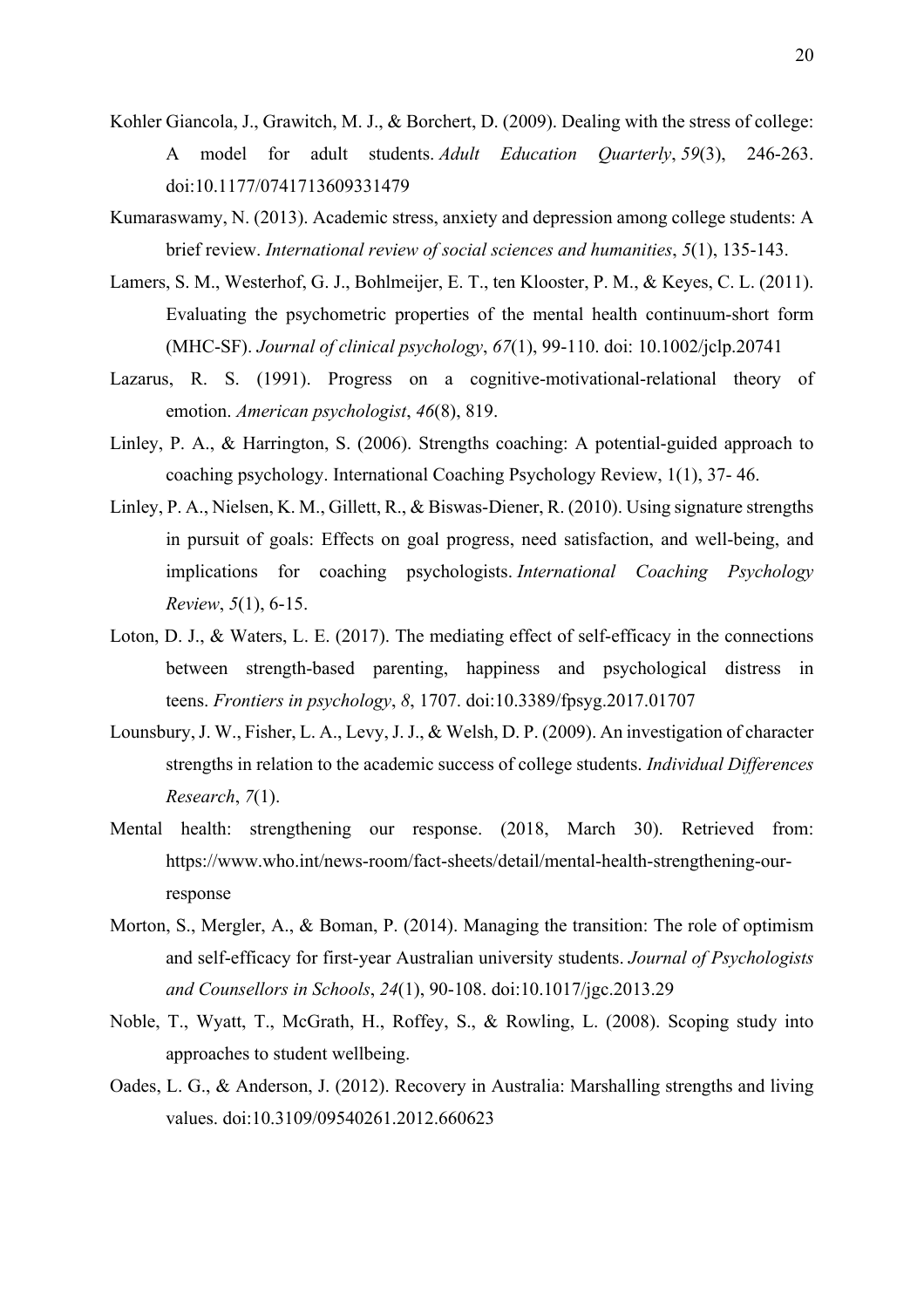- Kohler Giancola, J., Grawitch, M. J., & Borchert, D. (2009). Dealing with the stress of college: A model for adult students. *Adult Education Quarterly*, *59*(3), 246-263. doi:10.1177/0741713609331479
- Kumaraswamy, N. (2013). Academic stress, anxiety and depression among college students: A brief review. *International review of social sciences and humanities*, *5*(1), 135-143.
- Lamers, S. M., Westerhof, G. J., Bohlmeijer, E. T., ten Klooster, P. M., & Keyes, C. L. (2011). Evaluating the psychometric properties of the mental health continuum‐short form (MHC‐SF). *Journal of clinical psychology*, *67*(1), 99-110. doi: 10.1002/jclp.20741
- Lazarus, R. S. (1991). Progress on a cognitive-motivational-relational theory of emotion. *American psychologist*, *46*(8), 819.
- Linley, P. A., & Harrington, S. (2006). Strengths coaching: A potential-guided approach to coaching psychology. International Coaching Psychology Review, 1(1), 37- 46.
- Linley, P. A., Nielsen, K. M., Gillett, R., & Biswas-Diener, R. (2010). Using signature strengths in pursuit of goals: Effects on goal progress, need satisfaction, and well-being, and implications for coaching psychologists. *International Coaching Psychology Review*, *5*(1), 6-15.
- Loton, D. J., & Waters, L. E. (2017). The mediating effect of self-efficacy in the connections between strength-based parenting, happiness and psychological distress in teens. *Frontiers in psychology*, *8*, 1707. doi:10.3389/fpsyg.2017.01707
- Lounsbury, J. W., Fisher, L. A., Levy, J. J., & Welsh, D. P. (2009). An investigation of character strengths in relation to the academic success of college students. *Individual Differences Research*, *7*(1).
- Mental health: strengthening our response. (2018, March 30). Retrieved from: https://www.who.int/news-room/fact-sheets/detail/mental-health-strengthening-ourresponse
- Morton, S., Mergler, A., & Boman, P. (2014). Managing the transition: The role of optimism and self-efficacy for first-year Australian university students. *Journal of Psychologists and Counsellors in Schools*, *24*(1), 90-108. doi:10.1017/jgc.2013.29
- Noble, T., Wyatt, T., McGrath, H., Roffey, S., & Rowling, L. (2008). Scoping study into approaches to student wellbeing.
- Oades, L. G., & Anderson, J. (2012). Recovery in Australia: Marshalling strengths and living values. doi:10.3109/09540261.2012.660623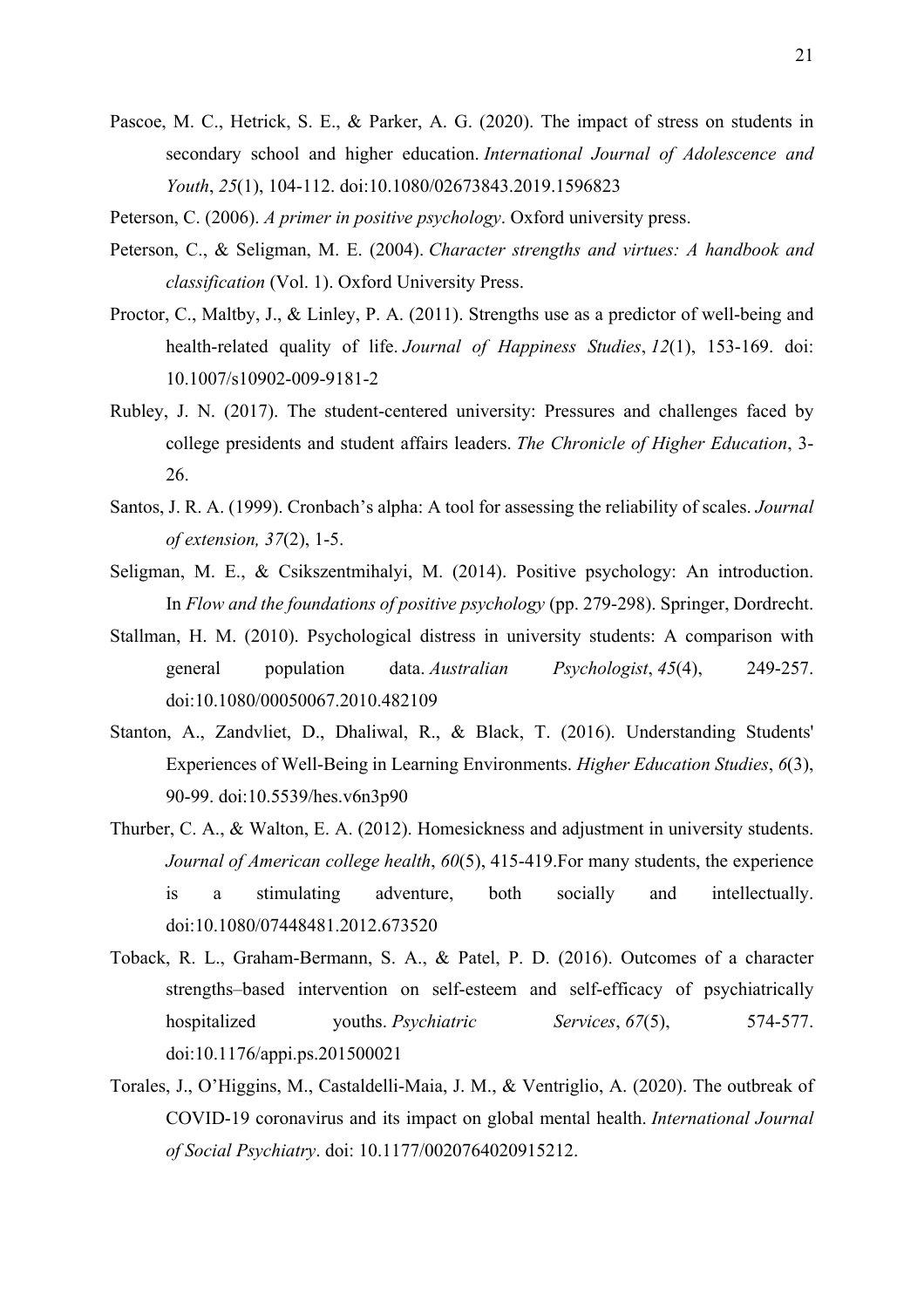- Pascoe, M. C., Hetrick, S. E., & Parker, A. G. (2020). The impact of stress on students in secondary school and higher education. *International Journal of Adolescence and Youth*, *25*(1), 104-112. doi:10.1080/02673843.2019.1596823
- Peterson, C. (2006). *A primer in positive psychology*. Oxford university press.
- Peterson, C., & Seligman, M. E. (2004). *Character strengths and virtues: A handbook and classification* (Vol. 1). Oxford University Press.
- Proctor, C., Maltby, J., & Linley, P. A. (2011). Strengths use as a predictor of well-being and health-related quality of life. *Journal of Happiness Studies*, *12*(1), 153-169. doi: 10.1007/s10902-009-9181-2
- Rubley, J. N. (2017). The student-centered university: Pressures and challenges faced by college presidents and student affairs leaders. *The Chronicle of Higher Education*, 3- 26.
- Santos, J. R. A. (1999). Cronbach's alpha: A tool for assessing the reliability of scales. *Journal of extension, 37*(2), 1-5.
- Seligman, M. E., & Csikszentmihalyi, M. (2014). Positive psychology: An introduction. In *Flow and the foundations of positive psychology* (pp. 279-298). Springer, Dordrecht.
- Stallman, H. M. (2010). Psychological distress in university students: A comparison with general population data. *Australian Psychologist*, *45*(4), 249-257. doi:10.1080/00050067.2010.482109
- Stanton, A., Zandvliet, D., Dhaliwal, R., & Black, T. (2016). Understanding Students' Experiences of Well-Being in Learning Environments. *Higher Education Studies*, *6*(3), 90-99. doi:10.5539/hes.v6n3p90
- Thurber, C. A., & Walton, E. A. (2012). Homesickness and adjustment in university students. *Journal of American college health*, *60*(5), 415-419.For many students, the experience is a stimulating adventure, both socially and intellectually. doi:10.1080/07448481.2012.673520
- Toback, R. L., Graham-Bermann, S. A., & Patel, P. D. (2016). Outcomes of a character strengths–based intervention on self-esteem and self-efficacy of psychiatrically hospitalized youths. *Psychiatric Services*, 67(5), 574-577. doi:10.1176/appi.ps.201500021
- Torales, J., O'Higgins, M., Castaldelli-Maia, J. M., & Ventriglio, A. (2020). The outbreak of COVID-19 coronavirus and its impact on global mental health. *International Journal of Social Psychiatry*. doi: 10.1177/0020764020915212.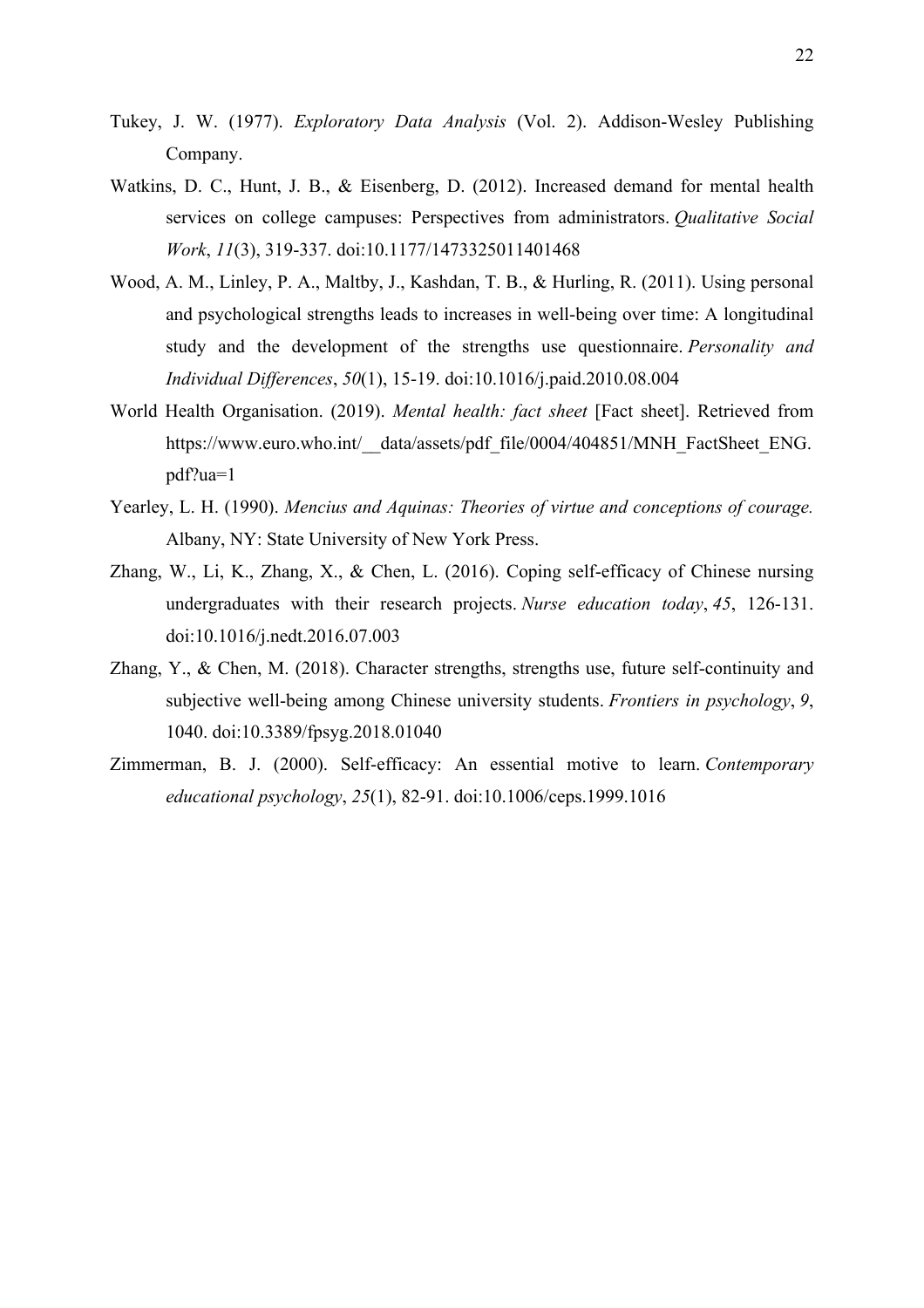- Tukey, J. W. (1977). *Exploratory Data Analysis* (Vol. 2). Addison-Wesley Publishing Company.
- Watkins, D. C., Hunt, J. B., & Eisenberg, D. (2012). Increased demand for mental health services on college campuses: Perspectives from administrators. *Qualitative Social Work*, *11*(3), 319-337. doi:10.1177/1473325011401468
- Wood, A. M., Linley, P. A., Maltby, J., Kashdan, T. B., & Hurling, R. (2011). Using personal and psychological strengths leads to increases in well-being over time: A longitudinal study and the development of the strengths use questionnaire. *Personality and Individual Differences*, *50*(1), 15-19. doi:10.1016/j.paid.2010.08.004
- World Health Organisation. (2019). *Mental health: fact sheet* [Fact sheet]. Retrieved from https://www.euro.who.int/ data/assets/pdf\_file/0004/404851/MNH\_FactSheet\_ENG. pdf?ua=1
- Yearley, L. H. (1990). *Mencius and Aquinas: Theories of virtue and conceptions of courage.*  Albany, NY: State University of New York Press.
- Zhang, W., Li, K., Zhang, X., & Chen, L. (2016). Coping self-efficacy of Chinese nursing undergraduates with their research projects. *Nurse education today*, *45*, 126-131. doi:10.1016/j.nedt.2016.07.003
- Zhang, Y., & Chen, M. (2018). Character strengths, strengths use, future self-continuity and subjective well-being among Chinese university students. *Frontiers in psychology*, *9*, 1040. doi:10.3389/fpsyg.2018.01040
- Zimmerman, B. J. (2000). Self-efficacy: An essential motive to learn. *Contemporary educational psychology*, *25*(1), 82-91. doi:10.1006/ceps.1999.1016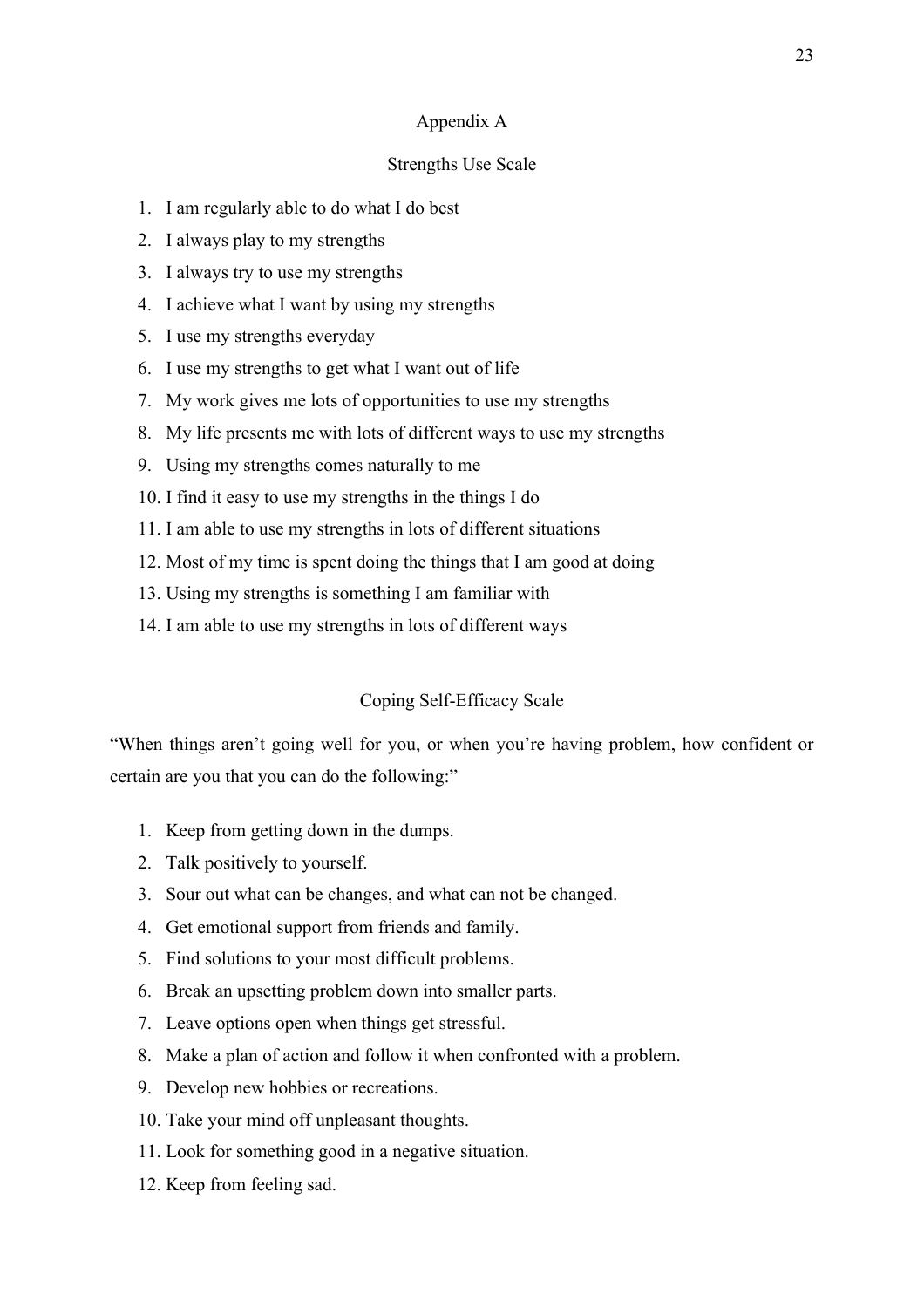## Appendix A

# Strengths Use Scale

- 1. I am regularly able to do what I do best
- 2. I always play to my strengths
- 3. I always try to use my strengths
- 4. I achieve what I want by using my strengths
- 5. I use my strengths everyday
- 6. I use my strengths to get what I want out of life
- 7. My work gives me lots of opportunities to use my strengths
- 8. My life presents me with lots of different ways to use my strengths
- 9. Using my strengths comes naturally to me
- 10. I find it easy to use my strengths in the things I do
- 11. I am able to use my strengths in lots of different situations
- 12. Most of my time is spent doing the things that I am good at doing
- 13. Using my strengths is something I am familiar with
- 14. I am able to use my strengths in lots of different ways

## Coping Self-Efficacy Scale

"When things aren't going well for you, or when you're having problem, how confident or certain are you that you can do the following:"

- 1. Keep from getting down in the dumps.
- 2. Talk positively to yourself.
- 3. Sour out what can be changes, and what can not be changed.
- 4. Get emotional support from friends and family.
- 5. Find solutions to your most difficult problems.
- 6. Break an upsetting problem down into smaller parts.
- 7. Leave options open when things get stressful.
- 8. Make a plan of action and follow it when confronted with a problem.
- 9. Develop new hobbies or recreations.
- 10. Take your mind off unpleasant thoughts.
- 11. Look for something good in a negative situation.
- 12. Keep from feeling sad.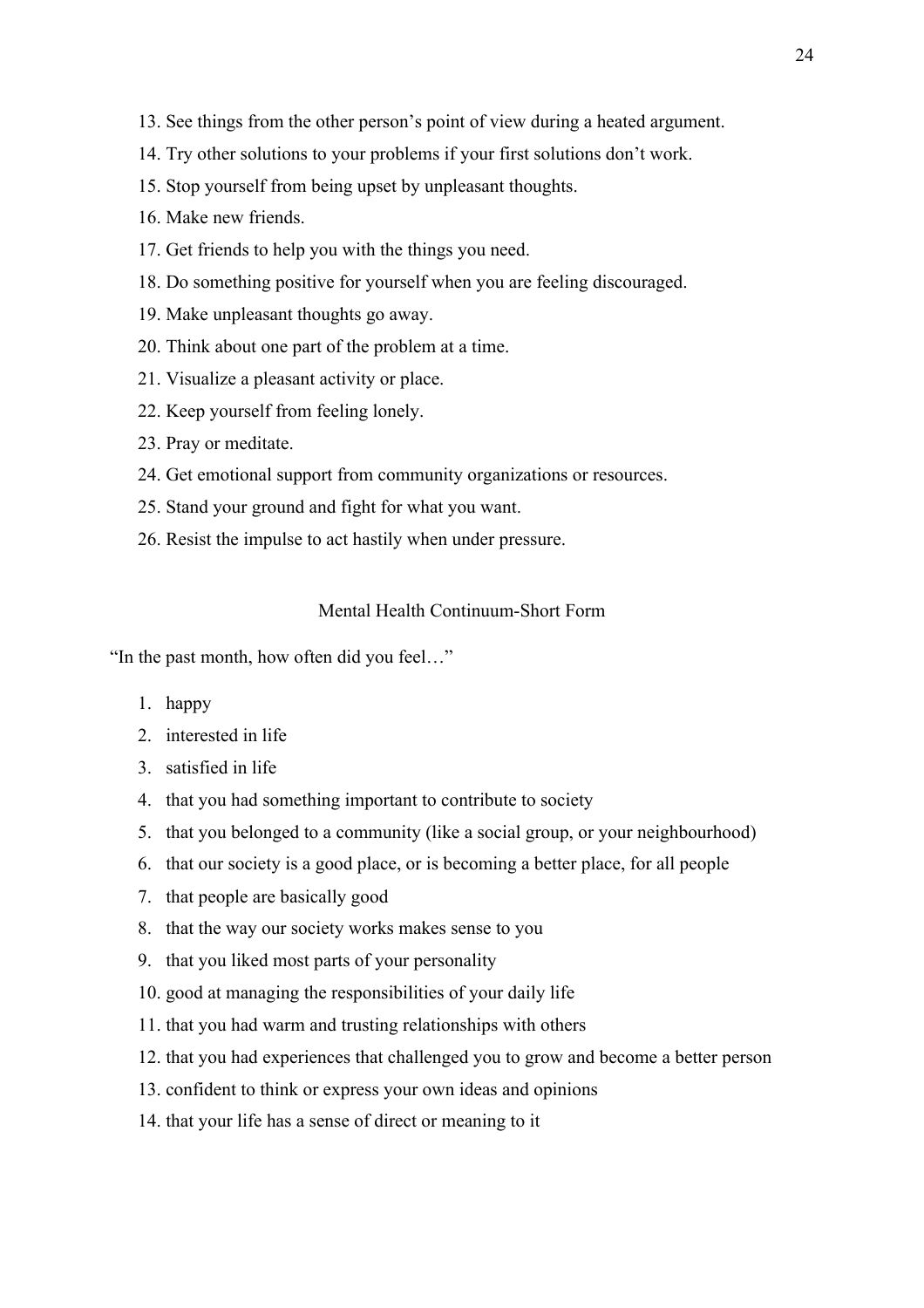- 13. See things from the other person's point of view during a heated argument.
- 14. Try other solutions to your problems if your first solutions don't work.
- 15. Stop yourself from being upset by unpleasant thoughts.
- 16. Make new friends.
- 17. Get friends to help you with the things you need.
- 18. Do something positive for yourself when you are feeling discouraged.
- 19. Make unpleasant thoughts go away.
- 20. Think about one part of the problem at a time.
- 21. Visualize a pleasant activity or place.
- 22. Keep yourself from feeling lonely.
- 23. Pray or meditate.
- 24. Get emotional support from community organizations or resources.
- 25. Stand your ground and fight for what you want.
- 26. Resist the impulse to act hastily when under pressure.

# Mental Health Continuum-Short Form

"In the past month, how often did you feel…"

- 1. happy
- 2. interested in life
- 3. satisfied in life
- 4. that you had something important to contribute to society
- 5. that you belonged to a community (like a social group, or your neighbourhood)
- 6. that our society is a good place, or is becoming a better place, for all people
- 7. that people are basically good
- 8. that the way our society works makes sense to you
- 9. that you liked most parts of your personality
- 10. good at managing the responsibilities of your daily life
- 11. that you had warm and trusting relationships with others
- 12. that you had experiences that challenged you to grow and become a better person
- 13. confident to think or express your own ideas and opinions
- 14. that your life has a sense of direct or meaning to it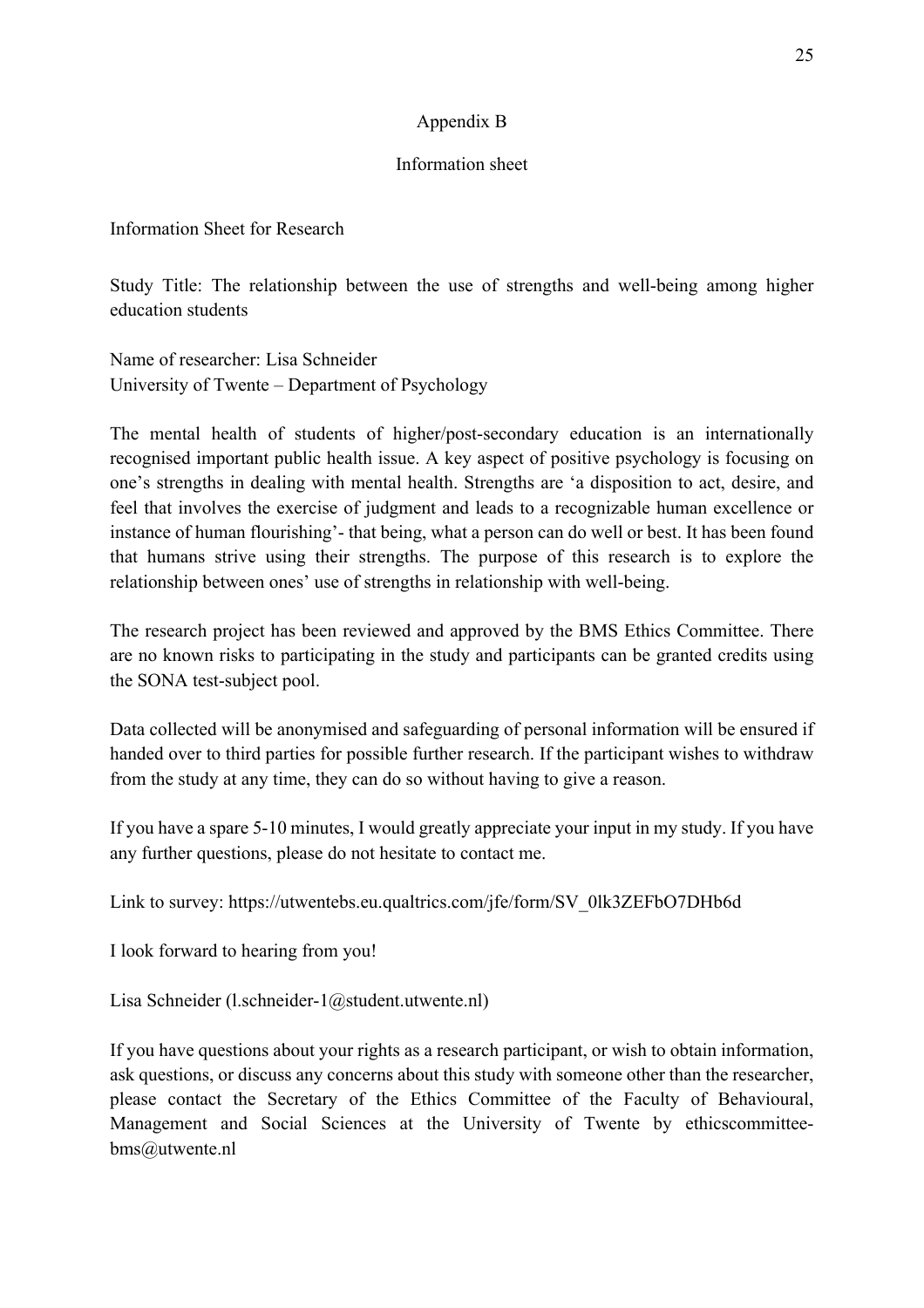# Appendix B

# Information sheet

Information Sheet for Research

Study Title: The relationship between the use of strengths and well-being among higher education students

Name of researcher: Lisa Schneider University of Twente – Department of Psychology

The mental health of students of higher/post-secondary education is an internationally recognised important public health issue. A key aspect of positive psychology is focusing on one's strengths in dealing with mental health. Strengths are 'a disposition to act, desire, and feel that involves the exercise of judgment and leads to a recognizable human excellence or instance of human flourishing'- that being, what a person can do well or best. It has been found that humans strive using their strengths. The purpose of this research is to explore the relationship between ones' use of strengths in relationship with well-being.

The research project has been reviewed and approved by the BMS Ethics Committee. There are no known risks to participating in the study and participants can be granted credits using the SONA test-subject pool.

Data collected will be anonymised and safeguarding of personal information will be ensured if handed over to third parties for possible further research. If the participant wishes to withdraw from the study at any time, they can do so without having to give a reason.

If you have a spare 5-10 minutes, I would greatly appreciate your input in my study. If you have any further questions, please do not hesitate to contact me.

Link to survey: https://utwentebs.eu.qualtrics.com/jfe/form/SV\_0lk3ZEFbO7DHb6d

I look forward to hearing from you!

Lisa Schneider (l.schneider-1@student.utwente.nl)

If you have questions about your rights as a research participant, or wish to obtain information, ask questions, or discuss any concerns about this study with someone other than the researcher, please contact the Secretary of the Ethics Committee of the Faculty of Behavioural, Management and Social Sciences at the University of Twente by ethicscommitteebms@utwente.nl